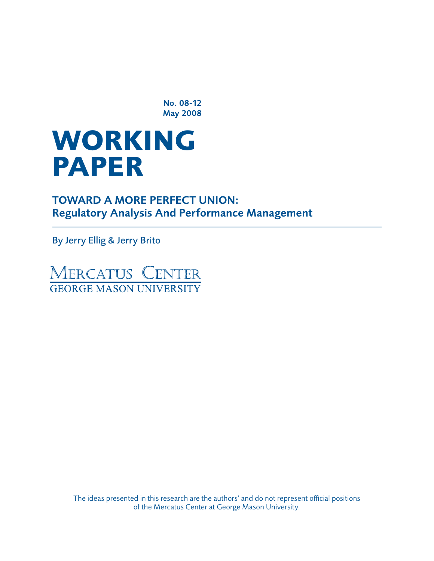No. 08-12 May 2008

# **WORKING paper**

TOWARD A MORE PERFECT UNION: Regulatory Analysis And Performance Management

By Jerry Ellig & Jerry Brito

**MERCATUS CENTER**<br>GEORGE MASON UNIVERSITY

The ideas presented in this research are the authors' and do not represent official positions of the Mercatus Center at George Mason University.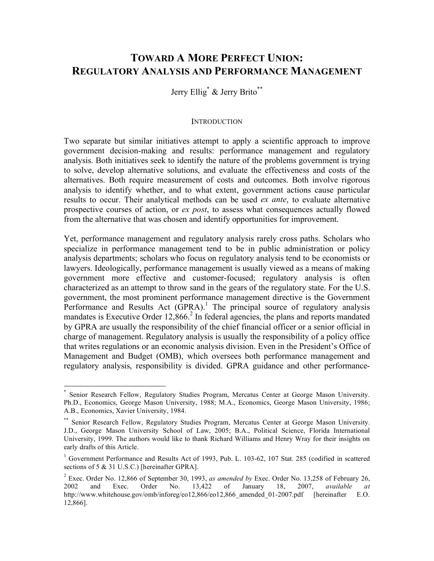## **TOWARD A MORE PERFECT UNION: REGULATORY ANALYSIS AND PERFORMANCE MANAGEMENT**

Jerry Ellig<sup>\*</sup> & Jerry Brito<sup>\*\*</sup>

#### **INTRODUCTION**

Two separate but similar initiatives attempt to apply a scientific approach to improve government decision-making and results: performance management and regulatory analysis. Both initiatives seek to identify the nature of the problems government is trying to solve, develop alternative solutions, and evaluate the effectiveness and costs of the alternatives. Both require measurement of costs and outcomes. Both involve rigorous analysis to identify whether, and to what extent, government actions cause particular results to occur. Their analytical methods can be used *ex ante*, to evaluate alternative prospective courses of action, or *ex post*, to assess what consequences actually flowed from the alternative that was chosen and identify opportunities for improvement.

Yet, performance management and regulatory analysis rarely cross paths. Scholars who specialize in performance management tend to be in public administration or policy analysis departments; scholars who focus on regulatory analysis tend to be economists or lawyers. Ideologically, performance management is usually viewed as a means of making government more effective and customer-focused; regulatory analysis is often characterized as an attempt to throw sand in the gears of the regulatory state. For the U.S. government, the most prominent performance management directive is the Government Performance and Results Act  $(GPRA)$ .<sup>1</sup> The principal source of regulatory analysis mandates is Executive Order  $12,866$ <sup>2</sup> In federal agencies, the plans and reports mandated by GPRA are usually the responsibility of the chief financial officer or a senior official in charge of management. Regulatory analysis is usually the responsibility of a policy office that writes regulations or an economic analysis division. Even in the President's Office of Management and Budget (OMB), which oversees both performance management and regulatory analysis, responsibility is divided. GPRA guidance and other performance-

Senior Research Fellow, Regulatory Studies Program, Mercatus Center at George Mason University. Ph.D., Economics, George Mason University, 1988; M.A., Economics, George Mason University, 1986; A.B., Economics, Xavier University, 1984.

<sup>\*\*</sup> Senior Research Fellow, Regulatory Studies Program, Mercatus Center at George Mason University. J.D., George Mason University School of Law, 2005; B.A., Political Science, Florida International University, 1999. The authors would like to thank Richard Williams and Henry Wray for their insights on early drafts of this Article.

<sup>&</sup>lt;sup>1</sup> Government Performance and Results Act of 1993, Pub. L. 103-62, 107 Stat. 285 (codified in scattered sections of 5 & 31 U.S.C.) [hereinafter GPRA].

<sup>2</sup> Exec. Order No. 12,866 of September 30, 1993, *as amended by* Exec. Order No. 13,258 of February 26, 2002 and Exec. Order No. 13,422 of January 18, 2007, *available at* http://www.whitehouse.gov/omb/inforeg/eo12,866/eo12,866\_amended\_01-2007.pdf [hereinafter E.O. 12,866].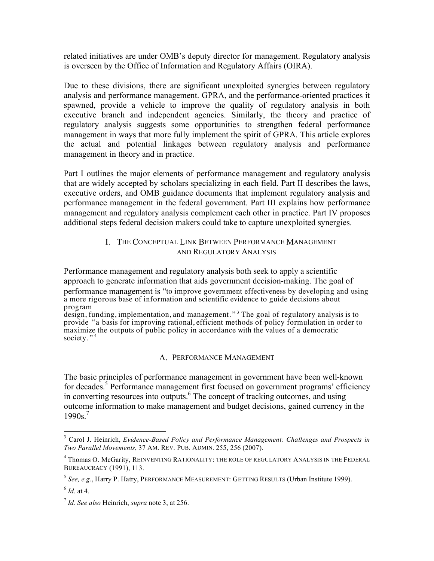related initiatives are under OMB's deputy director for management. Regulatory analysis is overseen by the Office of Information and Regulatory Affairs (OIRA).

Due to these divisions, there are significant unexploited synergies between regulatory analysis and performance management. GPRA, and the performance-oriented practices it spawned, provide a vehicle to improve the quality of regulatory analysis in both executive branch and independent agencies. Similarly, the theory and practice of regulatory analysis suggests some opportunities to strengthen federal performance management in ways that more fully implement the spirit of GPRA. This article explores the actual and potential linkages between regulatory analysis and performance management in theory and in practice.

Part I outlines the major elements of performance management and regulatory analysis that are widely accepted by scholars specializing in each field. Part II describes the laws, executive orders, and OMB guidance documents that implement regulatory analysis and performance management in the federal government. Part III explains how performance management and regulatory analysis complement each other in practice. Part IV proposes additional steps federal decision makers could take to capture unexploited synergies.

#### I. THE CONCEPTUAL LINK BETWEEN PERFORMANCE MANAGEMENT AND REGULATORY ANALYSIS

Performance management and regulatory analysis both seek to apply a scientific approach to generate information that aids government decision-making. The goal of performance management is "to improve government effectiveness by developing and using a more rigorous base of information and scientific evidence to guide decisions about program

design, funding, implementation, and management."<sup>3</sup> The goal of regulatory analysis is to provide "a basis for improving rational, efficient methods of policy formulation in order to maximize the outputs of public policy in accordance with the values of a democratic society."<sup>4</sup>

#### A. PERFORMANCE MANAGEMENT

The basic principles of performance management in government have been well-known for decades.<sup>5</sup> Performance management first focused on government programs' efficiency in converting resources into outputs.<sup>6</sup> The concept of tracking outcomes, and using outcome information to make management and budget decisions, gained currency in the  $1990s$ <sup>7</sup>

 <sup>3</sup> Carol J. Heinrich, *Evidence-Based Policy and Performance Management: Challenges and Prospects in Two Parallel Movements*, 37 AM. REV. PUB. ADMIN. 255, 256 (2007).

<sup>&</sup>lt;sup>4</sup> Thomas O. McGarity, REINVENTING RATIONALITY: THE ROLE OF REGULATORY ANALYSIS IN THE FEDERAL BUREAUCRACY (1991), 113.

<sup>5</sup> *See, e.g.*, Harry P. Hatry, PERFORMANCE MEASUREMENT: GETTING RESULTS (Urban Institute 1999).

 $6$  *Id* at 4.

<sup>7</sup> *Id*. *See also* Heinrich, *supra* note 3, at 256.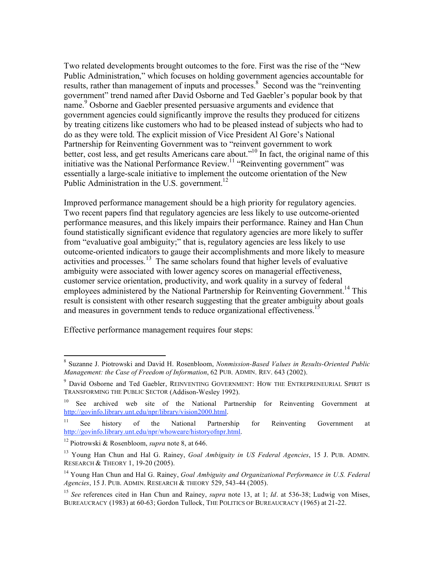Two related developments brought outcomes to the fore. First was the rise of the "New Public Administration," which focuses on holding government agencies accountable for results, rather than management of inputs and processes.<sup>8</sup> Second was the "reinventing" government" trend named after David Osborne and Ted Gaebler's popular book by that name.<sup>9</sup> Osborne and Gaebler presented persuasive arguments and evidence that government agencies could significantly improve the results they produced for citizens by treating citizens like customers who had to be pleased instead of subjects who had to do as they were told. The explicit mission of Vice President Al Gore's National Partnership for Reinventing Government was to "reinvent government to work better, cost less, and get results Americans care about.<sup>"10</sup> In fact, the original name of this initiative was the National Performance Review.<sup>11</sup> "Reinventing government" was essentially a large-scale initiative to implement the outcome orientation of the New Public Administration in the U.S. government.<sup>12</sup>

Improved performance management should be a high priority for regulatory agencies. Two recent papers find that regulatory agencies are less likely to use outcome-oriented performance measures, and this likely impairs their performance. Rainey and Han Chun found statistically significant evidence that regulatory agencies are more likely to suffer from "evaluative goal ambiguity;" that is, regulatory agencies are less likely to use outcome-oriented indicators to gauge their accomplishments and more likely to measure activities and processes.<sup>13</sup> The same scholars found that higher levels of evaluative ambiguity were associated with lower agency scores on managerial effectiveness, customer service orientation, productivity, and work quality in a survey of federal employees administered by the National Partnership for Reinventing Government.<sup>14</sup> This result is consistent with other research suggesting that the greater ambiguity about goals and measures in government tends to reduce organizational effectiveness.<sup>15</sup>

Effective performance management requires four steps:

 <sup>8</sup> Suzanne J. Piotrowski and David H. Rosenbloom, *Nonmission-Based Values in Results-Oriented Public Management: the Case of Freedom of Information*, 62 PUB. ADMIN. REV. 643 (2002).

<sup>&</sup>lt;sup>9</sup> David Osborne and Ted Gaebler, REINVENTING GOVERNMENT: HOW THE ENTREPRENEURIAL SPIRIT IS TRANSFORMING THE PUBLIC SECTOR (Addison-Wesley 1992).

<sup>&</sup>lt;sup>10</sup> See archived web site of the National Partnership for Reinventing Government at http://govinfo.library.unt.edu/npr/library/vision2000.html.

<sup>&</sup>lt;sup>11</sup> See history of the National Partnership for Reinventing Government at http://govinfo.library.unt.edu/npr/whoweare/historyofnpr.html.

<sup>12</sup> Piotrowski & Rosenbloom, *supra* note 8, at 646.

<sup>13</sup> Young Han Chun and Hal G. Rainey, *Goal Ambiguity in US Federal Agencies*, 15 J. PUB. ADMIN. RESEARCH & THEORY 1, 19-20 (2005).

<sup>14</sup> Young Han Chun and Hal G. Rainey, *Goal Ambiguity and Organizational Performance in U.S. Federal Agencies*, 15 J. PUB. ADMIN. RESEARCH & THEORY 529, 543-44 (2005).

<sup>15</sup> *See* references cited in Han Chun and Rainey, *supra* note 13, at 1; *Id*. at 536-38; Ludwig von Mises, BUREAUCRACY (1983) at 60-63; Gordon Tullock, THE POLITICS OF BUREAUCRACY (1965) at 21-22.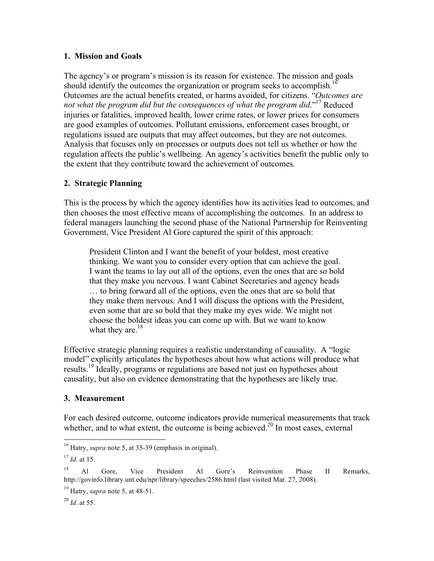#### **1. Mission and Goals**

The agency's or program's mission is its reason for existence. The mission and goals should identify the outcomes the organization or program seeks to accomplish.<sup>16</sup> Outcomes are the actual benefits created, or harms avoided, for citizens. "*Outcomes are not what the program did but the consequences of what the program did*."17 Reduced injuries or fatalities, improved health, lower crime rates, or lower prices for consumers are good examples of outcomes. Pollutant emissions, enforcement cases brought, or regulations issued are outputs that may affect outcomes, but they are not outcomes. Analysis that focuses only on processes or outputs does not tell us whether or how the regulation affects the public's wellbeing. An agency's activities benefit the public only to the extent that they contribute toward the achievement of outcomes.

#### **2. Strategic Planning**

This is the process by which the agency identifies how its activities lead to outcomes, and then chooses the most effective means of accomplishing the outcomes. In an address to federal managers launching the second phase of the National Partnership for Reinventing Government, Vice President Al Gore captured the spirit of this approach:

President Clinton and I want the benefit of your boldest, most creative thinking. We want you to consider every option that can achieve the goal. I want the teams to lay out all of the options, even the ones that are so bold that they make you nervous. I want Cabinet Secretaries and agency heads … to bring forward all of the options, even the ones that are so bold that they make them nervous. And I will discuss the options with the President, even some that are so bold that they make my eyes wide. We might not choose the boldest ideas you can come up with. But we want to know what they are. $18$ 

Effective strategic planning requires a realistic understanding of causality. A "logic model" explicitly articulates the hypotheses about how what actions will produce what results.<sup>19</sup> Ideally, programs or regulations are based not just on hypotheses about causality, but also on evidence demonstrating that the hypotheses are likely true.

#### **3. Measurement**

For each desired outcome, outcome indicators provide numerical measurements that track whether, and to what extent, the outcome is being achieved.<sup>20</sup> In most cases, external

 <sup>16</sup> Hatry, *supra* note 5, at 35-39 (emphasis in original).

<sup>17</sup> *Id*. at 15.

<sup>&</sup>lt;sup>18</sup> Al Gore, Vice President Al Gore's Reinvention Phase II Remarks, http://govinfo.library.unt.edu/npr/library/speeches/2586.html (last visited Mar. 27, 2008).

<sup>19</sup> Hatry, *supra* note 5, at 48-51.

<sup>20</sup> *Id*. at 55.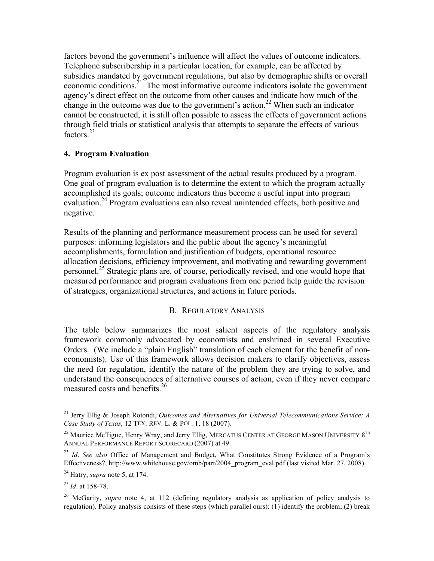factors beyond the government's influence will affect the values of outcome indicators. Telephone subscribership in a particular location, for example, can be affected by subsidies mandated by government regulations, but also by demographic shifts or overall economic conditions.<sup>21</sup> The most informative outcome indicators isolate the government agency's direct effect on the outcome from other causes and indicate how much of the change in the outcome was due to the government's action.<sup>22</sup> When such an indicator cannot be constructed, it is still often possible to assess the effects of government actions through field trials or statistical analysis that attempts to separate the effects of various factors<sup>23</sup>

#### **4. Program Evaluation**

Program evaluation is ex post assessment of the actual results produced by a program. One goal of program evaluation is to determine the extent to which the program actually accomplished its goals; outcome indicators thus become a useful input into program evaluation.<sup>24</sup> Program evaluations can also reveal unintended effects, both positive and negative.

Results of the planning and performance measurement process can be used for several purposes: informing legislators and the public about the agency's meaningful accomplishments, formulation and justification of budgets, operational resource allocation decisions, efficiency improvement, and motivating and rewarding government personnel.25 Strategic plans are, of course, periodically revised, and one would hope that measured performance and program evaluations from one period help guide the revision of strategies, organizational structures, and actions in future periods.

#### B. REGULATORY ANALYSIS

The table below summarizes the most salient aspects of the regulatory analysis framework commonly advocated by economists and enshrined in several Executive Orders. (We include a "plain English" translation of each element for the benefit of noneconomists). Use of this framework allows decision makers to clarify objectives, assess the need for regulation, identify the nature of the problem they are trying to solve, and understand the consequences of alternative courses of action, even if they never compare measured costs and benefits.<sup>26</sup>

 <sup>21</sup> Jerry Ellig & Joseph Rotondi, *Outcomes and Alternatives for Universal Telecommunications Service: A Case Study of Texas*, 12 TEX. REV. L. & POL. 1, 18 (2007).

<sup>&</sup>lt;sup>22</sup> Maurice McTigue, Henry Wray, and Jerry Ellig, MERCATUS CENTER AT GEORGE MASON UNIVERSITY  $8^{TH}$ ANNUAL PERFORMANCE REPORT SCORECARD (2007) at 49.

<sup>23</sup> *Id*. *See also* Office of Management and Budget, What Constitutes Strong Evidence of a Program's Effectiveness?, http://www.whitehouse.gov/omb/part/2004\_program\_eval.pdf (last visited Mar. 27, 2008).

<sup>24</sup> Hatry, *supra* note 5, at 174.

<sup>25</sup> *Id*. at 158-78.

<sup>26</sup> McGarity, *supra* note 4, at 112 (defining regulatory analysis as application of policy analysis to regulation). Policy analysis consists of these steps (which parallel ours): (1) identify the problem; (2) break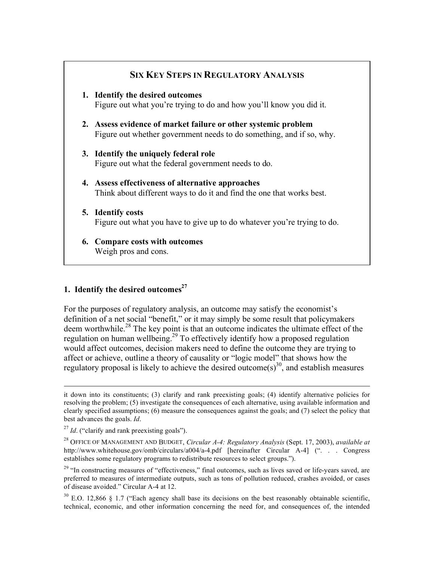# **SIX KEY STEPS IN REGULATORY ANALYSIS 1. Identify the desired outcomes** Figure out what you're trying to do and how you'll know you did it. **2. Assess evidence of market failure or other systemic problem** Figure out whether government needs to do something, and if so, why. **3. Identify the uniquely federal role** Figure out what the federal government needs to do. **4. Assess effectiveness of alternative approaches** Think about different ways to do it and find the one that works best. **5. Identify costs** Figure out what you have to give up to do whatever you're trying to do. **6. Compare costs with outcomes** Weigh pros and cons.

#### **1. Identify the desired outcomes**<sup>27</sup>

For the purposes of regulatory analysis, an outcome may satisfy the economist's definition of a net social "benefit," or it may simply be some result that policymakers deem worthwhile.<sup>28</sup> The key point is that an outcome indicates the ultimate effect of the regulation on human wellbeing.<sup>29</sup> To effectively identify how a proposed regulation would affect outcomes, decision makers need to define the outcome they are trying to affect or achieve, outline a theory of causality or "logic model" that shows how the regulatory proposal is likely to achieve the desired outcome(s)<sup>30</sup>, and establish measures

 $\overline{a}$ 

it down into its constituents; (3) clarify and rank preexisting goals; (4) identify alternative policies for resolving the problem; (5) investigate the consequences of each alternative, using available information and clearly specified assumptions; (6) measure the consequences against the goals; and (7) select the policy that best advances the goals. *Id*.

<sup>&</sup>lt;sup>27</sup> *Id.* ("clarify and rank preexisting goals").

<sup>28</sup> OFFICE OF MANAGEMENT AND BUDGET, *Circular A-4: Regulatory Analysis* (Sept. 17, 2003), *available at* http://www.whitehouse.gov/omb/circulars/a004/a-4.pdf [hereinafter Circular A-4] (". . . Congress establishes some regulatory programs to redistribute resources to select groups.").

<sup>&</sup>lt;sup>29</sup> "In constructing measures of "effectiveness," final outcomes, such as lives saved or life-years saved, are preferred to measures of intermediate outputs, such as tons of pollution reduced, crashes avoided, or cases of disease avoided." Circular A-4 at 12.

 $30$  E.O. 12,866 § 1.7 ("Each agency shall base its decisions on the best reasonably obtainable scientific, technical, economic, and other information concerning the need for, and consequences of, the intended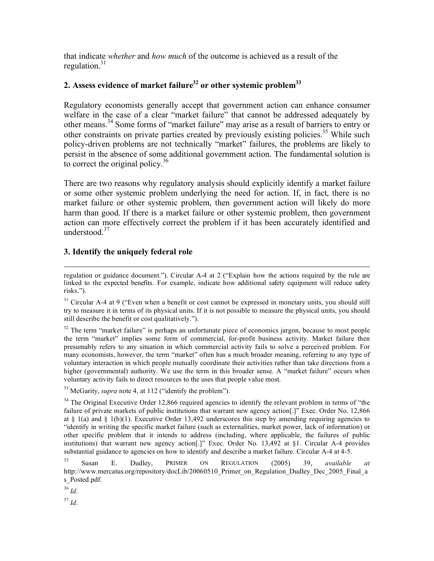that indicate *whether* and *how much* of the outcome is achieved as a result of the regulation $^{31}$ 

### 2. Assess evidence of market failure<sup>32</sup> or other systemic problem<sup>33</sup>

Regulatory economists generally accept that government action can enhance consumer welfare in the case of a clear "market failure" that cannot be addressed adequately by other means.<sup>34</sup> Some forms of "market failure" may arise as a result of barriers to entry or other constraints on private parties created by previously existing policies.<sup>35</sup> While such policy-driven problems are not technically "market" failures, the problems are likely to persist in the absence of some additional government action. The fundamental solution is to correct the original policy. $36$ 

There are two reasons why regulatory analysis should explicitly identify a market failure or some other systemic problem underlying the need for action. If, in fact, there is no market failure or other systemic problem, then government action will likely do more harm than good. If there is a market failure or other systemic problem, then government action can more effectively correct the problem if it has been accurately identified and understood  $37$ 

#### **3. Identify the uniquely federal role**

<sup>32</sup> The term "market failure" is perhaps an unfortunate piece of economics jargon, because to most people the term "market" implies some form of commercial, for-profit business activity. Market failure then presumably refers to any situation in which commercial activity fails to solve a perceived problem. For many economists, however, the term "market" often has a much broader meaning, referring to any type of voluntary interaction in which people mutually coordinate their activities rather than take directions from a higher (governmental) authority. We use the term in this broader sense. A "market failure" occurs when voluntary activity fails to direct resources to the uses that people value most.

<sup>33</sup> McGarity, *supra* note 4, at 112 ("identify the problem").

 $34$  The Original Executive Order 12,866 required agencies to identify the relevant problem in terms of "the failure of private markets of public institutions that warrant new agency action[.]" Exec. Order No. 12,866 at  $\S$  1(a) and  $\S$  1(b)(1). Executive Order 13,492 underscores this step by amending requiring agencies to "identify in writing the specific market failure (such as externalities, market power, lack of information) or other specific problem that it intends to address (including, where applicable, the failures of public institutions) that warrant new agency action[.]" Exec. Order No. 13,492 at §1. Circular A-4 provides substantial guidance to agencies on how to identify and describe a market failure. Circular A-4 at 4-5.

35 Susan E. Dudley, PRIMER ON REGULATION (2005) 39, *available at* http://www.mercatus.org/repository/docLib/20060510\_Primer\_on\_Regulation\_Dudley\_Dec\_2005\_Final\_a s Posted.pdf.

<sup>36</sup> *Id*.

 $\overline{a}$ 

<sup>37</sup> *Id*.

regulation or guidance document."). Circular A-4 at 2 ("Explain how the actions required by the rule are linked to the expected benefits. For example, indicate how additional safety equipment will reduce safety risks.").

 $31$  Circular A-4 at 9 ("Even when a benefit or cost cannot be expressed in monetary units, you should still try to measure it in terms of its physical units. If it is not possible to measure the physical units, you should still describe the benefit or cost qualitatively.").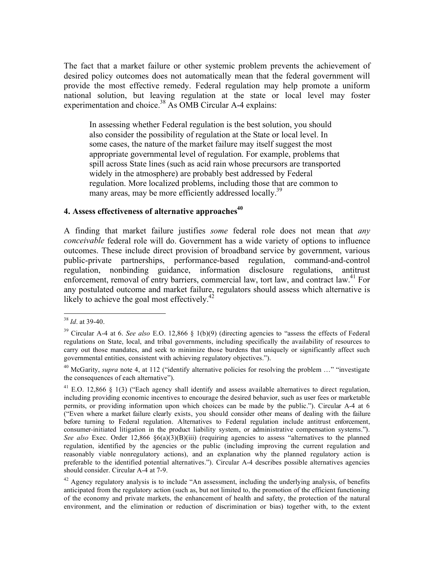The fact that a market failure or other systemic problem prevents the achievement of desired policy outcomes does not automatically mean that the federal government will provide the most effective remedy. Federal regulation may help promote a uniform national solution, but leaving regulation at the state or local level may foster experimentation and choice.<sup>38</sup> As OMB Circular A-4 explains:

In assessing whether Federal regulation is the best solution, you should also consider the possibility of regulation at the State or local level. In some cases, the nature of the market failure may itself suggest the most appropriate governmental level of regulation. For example, problems that spill across State lines (such as acid rain whose precursors are transported widely in the atmosphere) are probably best addressed by Federal regulation. More localized problems, including those that are common to many areas, may be more efficiently addressed locally.<sup>39</sup>

#### **4. Assess effectiveness of alternative approaches**<sup>40</sup>

A finding that market failure justifies *some* federal role does not mean that *any conceivable* federal role will do. Government has a wide variety of options to influence outcomes. These include direct provision of broadband service by government, various public-private partnerships, performance-based regulation, command-and-control regulation, nonbinding guidance, information disclosure regulations, antitrust enforcement, removal of entry barriers, commercial law, tort law, and contract law.<sup>41</sup> For any postulated outcome and market failure, regulators should assess which alternative is likely to achieve the goal most effectively. $^{42}$ 

 <sup>38</sup> *Id*. at 39-40.

<sup>39</sup> Circular A-4 at 6. *See also* E.O. 12,866 § 1(b)(9) (directing agencies to "assess the effects of Federal regulations on State, local, and tribal governments, including specifically the availability of resources to carry out those mandates, and seek to minimize those burdens that uniquely or significantly affect such governmental entities, consistent with achieving regulatory objectives.").

<sup>&</sup>lt;sup>40</sup> McGarity, *supra* note 4, at 112 ("identify alternative policies for resolving the problem ..." "investigate the consequences of each alternative").

<sup>&</sup>lt;sup>41</sup> E.O. 12,866 § 1(3) ("Each agency shall identify and assess available alternatives to direct regulation, including providing economic incentives to encourage the desired behavior, such as user fees or marketable permits, or providing information upon which choices can be made by the public."). Circular A-4 at 6 ("Even where a market failure clearly exists, you should consider other means of dealing with the failure before turning to Federal regulation. Alternatives to Federal regulation include antitrust enforcement, consumer-initiated litigation in the product liability system, or administrative compensation systems."). *See also* Exec. Order 12,866 §6(a)(3)(B)(iii) (requiring agencies to assess "alternatives to the planned regulation, identified by the agencies or the public (including improving the current regulation and reasonably viable nonregulatory actions), and an explanation why the planned regulatory action is preferable to the identified potential alternatives."). Circular A-4 describes possible alternatives agencies should consider. Circular A-4 at 7-9.

 $42$  Agency regulatory analysis is to include "An assessment, including the underlying analysis, of benefits anticipated from the regulatory action (such as, but not limited to, the promotion of the efficient functioning of the economy and private markets, the enhancement of health and safety, the protection of the natural environment, and the elimination or reduction of discrimination or bias) together with, to the extent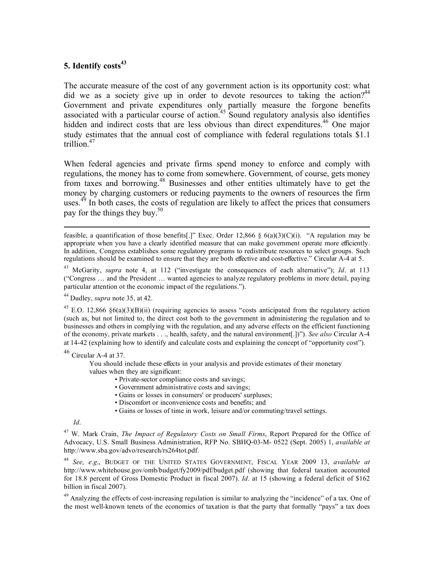#### 5. Identify costs<sup>43</sup>

The accurate measure of the cost of any government action is its opportunity cost: what did we as a society give up in order to devote resources to taking the action?<sup>44</sup> Government and private expenditures only partially measure the forgone benefits associated with a particular course of action.<sup>45</sup> Sound regulatory analysis also identifies hidden and indirect costs that are less obvious than direct expenditures.<sup>46</sup> One major study estimates that the annual cost of compliance with federal regulations totals \$1.1 trillion.<sup>47</sup>

When federal agencies and private firms spend money to enforce and comply with regulations, the money has to come from somewhere. Government, of course, gets money from taxes and borrowing.48 Businesses and other entities ultimately have to get the money by charging customers or reducing payments to the owners of resources the firm uses.<sup>49</sup> In both cases, the costs of regulation are likely to affect the prices that consumers pay for the things they buy.<sup>50</sup>

feasible, a quantification of those benefits[.]" Exec. Order  $12,866 \S 6(a)(3)(C)(i)$ . "A regulation may be appropriate when you have a clearly identified measure that can make government operate more efficiently. In addition, Congress establishes some regulatory programs to redistribute resources to select groups. Such regulations should be examined to ensure that they are both effective and cost-effective." Circular A-4 at 5.

43 McGarity, *supra* note 4, at 112 ("investigate the consequences of each alternative"); *Id*. at 113 ("Congress … and the President … wanted agencies to analyze regulatory problems in more detail, paying particular attention ot the economic impact of the regulations.").

44 Dudley, *supra* note 35, at 42.

<sup>45</sup> E.O. 12,866 §6(a)(3)(B)(ii) (requiring agencies to assess "costs anticipated from the regulatory action (such as, but not limited to, the direct cost both to the government in administering the regulation and to businesses and others in complying with the regulation, and any adverse effects on the efficient functioning of the economy, private markets . . ., health, safety, and the natural environment[.])"). *See also* Circular A-4 at 14-42 (explaining how to identify and calculate costs and explaining the concept of "opportunity cost").

 $46$  Circular A-4 at 37.

You should include these effects in your analysis and provide estimates of their monetary values when they are significant:

- Private-sector compliance costs and savings;
- Government administrative costs and savings;
- Gains or losses in consumers' or producers' surpluses;
- Discomfort or inconvenience costs and benefits; and
- Gains or losses of time in work, leisure and/or commuting/travel settings.

 $\overline{a}$ 

47 W. Mark Crain, *The Impact of Regulatory Costs on Small Firms*, Report Prepared for the Office of Advocacy, U.S. Small Business Administration, RFP No. SBHQ-03-M- 0522 (Sept. 2005) 1, *available at* http://www.sba.gov/advo/research/rs264tot.pdf.

<sup>48</sup> *See, e.g*., BUDGET OF THE UNITED STATES GOVERNMENT, FISCAL YEAR 2009 13, *available at* http://www.whitehouse.gov/omb/budget/fy2009/pdf/budget.pdf (showing that federal taxation accounted for 18.8 percent of Gross Domestic Product in fiscal 2007). *Id*. at 15 (showing a federal deficit of \$162 billion in fiscal 2007).

<sup>49</sup> Analyzing the effects of cost-increasing regulation is similar to analyzing the "incidence" of a tax. One of the most well-known tenets of the economics of taxation is that the party that formally "pays" a tax does

*Id*.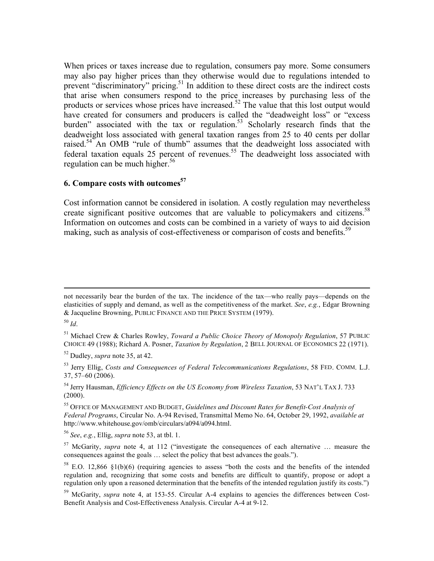When prices or taxes increase due to regulation, consumers pay more. Some consumers may also pay higher prices than they otherwise would due to regulations intended to prevent "discriminatory" pricing.<sup>51</sup> In addition to these direct costs are the indirect costs that arise when consumers respond to the price increases by purchasing less of the products or services whose prices have increased.<sup>52</sup> The value that this lost output would have created for consumers and producers is called the "deadweight loss" or "excess burden" associated with the tax or regulation.<sup>53</sup> Scholarly research finds that the deadweight loss associated with general taxation ranges from 25 to 40 cents per dollar raised.<sup>54</sup> An OMB "rule of thumb" assumes that the deadweight loss associated with federal taxation equals 25 percent of revenues.<sup>55</sup> The deadweight loss associated with regulation can be much higher.<sup>56</sup>

#### **6. Compare costs with outcomes57**

Cost information cannot be considered in isolation. A costly regulation may nevertheless create significant positive outcomes that are valuable to policymakers and citizens.<sup>58</sup> Information on outcomes and costs can be combined in a variety of ways to aid decision making, such as analysis of cost-effectiveness or comparison of costs and benefits.<sup>59</sup>

 $\overline{a}$ 

not necessarily bear the burden of the tax. The incidence of the tax—who really pays—depends on the elasticities of supply and demand, as well as the competitiveness of the market. *See*, *e.g.*, Edgar Browning & Jacqueline Browning, PUBLIC FINANCE AND THE PRICE SYSTEM (1979).

<sup>50</sup> *Id*.

<sup>51</sup> Michael Crew & Charles Rowley, *Toward a Public Choice Theory of Monopoly Regulation*, 57 PUBLIC CHOICE 49 (1988); Richard A. Posner, *Taxation by Regulation*, 2 BELL JOURNAL OF ECONOMICS 22 (1971).

<sup>52</sup> Dudley, *supra* note 35, at 42.

<sup>53</sup> Jerry Ellig, *Costs and Consequences of Federal Telecommunications Regulations*, 58 FED. COMM. L.J. 37, 57–60 (2006).

<sup>54</sup> Jerry Hausman, *Efficiency Effects on the US Economy from Wireless Taxation*, 53 NAT'L TAX J. 733  $(2000).$ 

<sup>55</sup> OFFICE OF MANAGEMENT AND BUDGET, *Guidelines and Discount Rates for Benefit-Cost Analysis of Federal Programs*, Circular No. A-94 Revised, Transmittal Memo No. 64, October 29, 1992, *available at* http://www.whitehouse.gov/omb/circulars/a094/a094.html.

<sup>56</sup> *See*, *e.g.*, Ellig, *supra* note 53, at tbl. 1.

<sup>57</sup> McGarity, *supra* note 4, at 112 ("investigate the consequences of each alternative … measure the consequences against the goals … select the policy that best advances the goals.").

 $58$  E.O. 12,866 §1(b)(6) (requiring agencies to assess "both the costs and the benefits of the intended regulation and, recognizing that some costs and benefits are difficult to quantify, propose or adopt a regulation only upon a reasoned determination that the benefits of the intended regulation justify its costs.")

<sup>&</sup>lt;sup>59</sup> McGarity, *supra* note 4, at 153-55. Circular A-4 explains to agencies the differences between Cost-Benefit Analysis and Cost-Effectiveness Analysis. Circular A-4 at 9-12.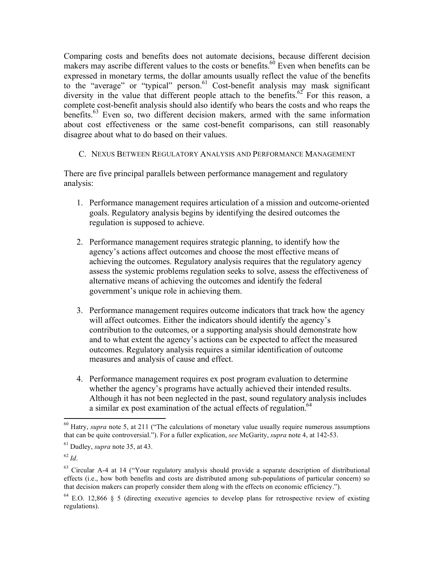Comparing costs and benefits does not automate decisions, because different decision makers may ascribe different values to the costs or benefits.<sup>60</sup> Even when benefits can be expressed in monetary terms, the dollar amounts usually reflect the value of the benefits to the "average" or "typical" person.<sup>61</sup> Cost-benefit analysis may mask significant diversity in the value that different people attach to the benefits.<sup>62</sup> For this reason, a complete cost-benefit analysis should also identify who bears the costs and who reaps the benefits.<sup>63</sup> Even so, two different decision makers, armed with the same information about cost effectiveness or the same cost-benefit comparisons, can still reasonably disagree about what to do based on their values.

#### C. NEXUS BETWEEN REGULATORY ANALYSIS AND PERFORMANCE MANAGEMENT

There are five principal parallels between performance management and regulatory analysis:

- 1. Performance management requires articulation of a mission and outcome-oriented goals. Regulatory analysis begins by identifying the desired outcomes the regulation is supposed to achieve.
- 2. Performance management requires strategic planning, to identify how the agency's actions affect outcomes and choose the most effective means of achieving the outcomes. Regulatory analysis requires that the regulatory agency assess the systemic problems regulation seeks to solve, assess the effectiveness of alternative means of achieving the outcomes and identify the federal government's unique role in achieving them.
- 3. Performance management requires outcome indicators that track how the agency will affect outcomes. Either the indicators should identify the agency's contribution to the outcomes, or a supporting analysis should demonstrate how and to what extent the agency's actions can be expected to affect the measured outcomes. Regulatory analysis requires a similar identification of outcome measures and analysis of cause and effect.
- 4. Performance management requires ex post program evaluation to determine whether the agency's programs have actually achieved their intended results. Although it has not been neglected in the past, sound regulatory analysis includes a similar ex post examination of the actual effects of regulation.<sup>64</sup>

<sup>&</sup>lt;sup>60</sup> Hatry, *supra* note 5, at 211 ("The calculations of monetary value usually require numerous assumptions that can be quite controversial."). For a fuller explication, *see* McGarity, *supra* note 4, at 142-53.

<sup>61</sup> Dudley, *supra* note 35, at 43.

<sup>62</sup> *Id*.

 $63$  Circular A-4 at 14 ("Your regulatory analysis should provide a separate description of distributional effects (i.e., how both benefits and costs are distributed among sub-populations of particular concern) so that decision makers can properly consider them along with the effects on economic efficiency.").

<sup>64</sup> E.O. 12,866 § 5 (directing executive agencies to develop plans for retrospective review of existing regulations).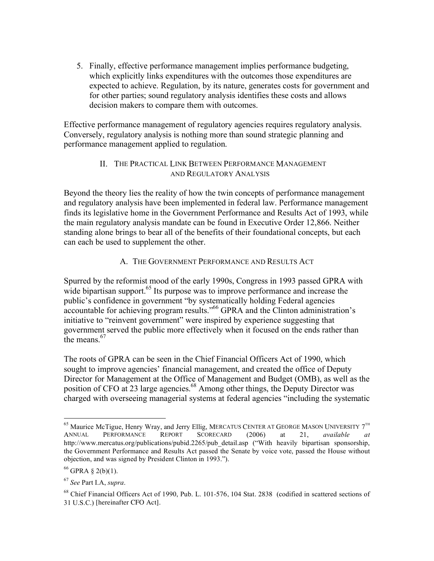5. Finally, effective performance management implies performance budgeting, which explicitly links expenditures with the outcomes those expenditures are expected to achieve. Regulation, by its nature, generates costs for government and for other parties; sound regulatory analysis identifies these costs and allows decision makers to compare them with outcomes.

Effective performance management of regulatory agencies requires regulatory analysis. Conversely, regulatory analysis is nothing more than sound strategic planning and performance management applied to regulation.

#### II. THE PRACTICAL LINK BETWEEN PERFORMANCE MANAGEMENT AND REGULATORY ANALYSIS

Beyond the theory lies the reality of how the twin concepts of performance management and regulatory analysis have been implemented in federal law. Performance management finds its legislative home in the Government Performance and Results Act of 1993, while the main regulatory analysis mandate can be found in Executive Order 12,866. Neither standing alone brings to bear all of the benefits of their foundational concepts, but each can each be used to supplement the other.

#### A. THE GOVERNMENT PERFORMANCE AND RESULTS ACT

Spurred by the reformist mood of the early 1990s, Congress in 1993 passed GPRA with wide bipartisan support.<sup>65</sup> Its purpose was to improve performance and increase the public's confidence in government "by systematically holding Federal agencies accountable for achieving program results."66 GPRA and the Clinton administration's initiative to "reinvent government" were inspired by experience suggesting that government served the public more effectively when it focused on the ends rather than the means.<sup>67</sup>

The roots of GPRA can be seen in the Chief Financial Officers Act of 1990, which sought to improve agencies' financial management, and created the office of Deputy Director for Management at the Office of Management and Budget (OMB), as well as the position of CFO at 23 large agencies.<sup>68</sup> Among other things, the Deputy Director was charged with overseeing managerial systems at federal agencies "including the systematic

<sup>&</sup>lt;sup>65</sup> Maurice McTigue, Henry Wray, and Jerry Ellig, MERCATUS CENTER AT GEORGE MASON UNIVERSITY  $7<sup>TH</sup>$ <br>ANNUAL PERFORMANCE REPORT SCORECARD (2006) at 21. *available at* ANNUAL PERFORMANCE REPORT SCORECARD (2006) at 21, *available at* http://www.mercatus.org/publications/pubid.2265/pub\_detail.asp ("With heavily bipartisan sponsorship, the Government Performance and Results Act passed the Senate by voice vote, passed the House without objection, and was signed by President Clinton in 1993.").

 $66$  GPRA § 2(b)(1).

<sup>67</sup> *See* Part I.A, *supra*.

 $68$  Chief Financial Officers Act of 1990, Pub. L. 101-576, 104 Stat. 2838 (codified in scattered sections of 31 U.S.C.) [hereinafter CFO Act].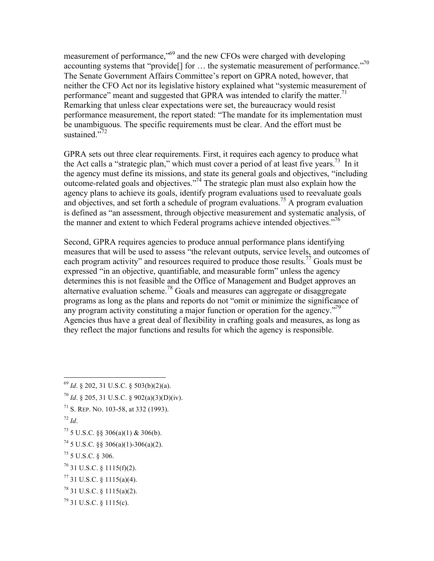measurement of performance,"69 and the new CFOs were charged with developing accounting systems that "provide<sup>[]</sup> for ... the systematic measurement of performance."<sup>70</sup> The Senate Government Affairs Committee's report on GPRA noted, however, that neither the CFO Act nor its legislative history explained what "systemic measurement of performance" meant and suggested that GPRA was intended to clarify the matter.<sup>71</sup> Remarking that unless clear expectations were set, the bureaucracy would resist performance measurement, the report stated: "The mandate for its implementation must be unambiguous. The specific requirements must be clear. And the effort must be sustained."72

GPRA sets out three clear requirements. First, it requires each agency to produce what the Act calls a "strategic plan," which must cover a period of at least five years.<sup>73</sup> In it the agency must define its missions, and state its general goals and objectives, "including outcome-related goals and objectives."74 The strategic plan must also explain how the agency plans to achieve its goals, identify program evaluations used to reevaluate goals and objectives, and set forth a schedule of program evaluations.<sup>75</sup> A program evaluation is defined as "an assessment, through objective measurement and systematic analysis, of the manner and extent to which Federal programs achieve intended objectives."<sup>76</sup>

Second, GPRA requires agencies to produce annual performance plans identifying measures that will be used to assess "the relevant outputs, service levels, and outcomes of each program activity" and resources required to produce those results.<sup>77</sup> Goals must be expressed "in an objective, quantifiable, and measurable form" unless the agency determines this is not feasible and the Office of Management and Budget approves an alternative evaluation scheme.<sup>78</sup> Goals and measures can aggregate or disaggregate programs as long as the plans and reports do not "omit or minimize the significance of any program activity constituting a major function or operation for the agency.<sup>"79</sup> Agencies thus have a great deal of flexibility in crafting goals and measures, as long as they reflect the major functions and results for which the agency is responsible.

- <sup>70</sup> *Id.* § 205, 31 U.S.C. § 902(a)(3)(D)(iv).
- $71$  S. REP. NO. 103-58, at 332 (1993).
- $^{72}$  *Id*.

- 76 31 U.S.C. § 1115(f)(2).
- $77$  31 U.S.C. § 1115(a)(4).
- $78$  31 U.S.C. § 1115(a)(2).
- $^{79}$  31 U.S.C. § 1115(c).

 <sup>69</sup> *Id*. § 202, 31 U.S.C. § 503(b)(2)(a).

 $^{73}$  5 U.S.C. §§ 306(a)(1) & 306(b).

 $74$  5 U.S.C. §§ 306(a)(1)-306(a)(2).

 $^{75}$  5 U.S.C. § 306.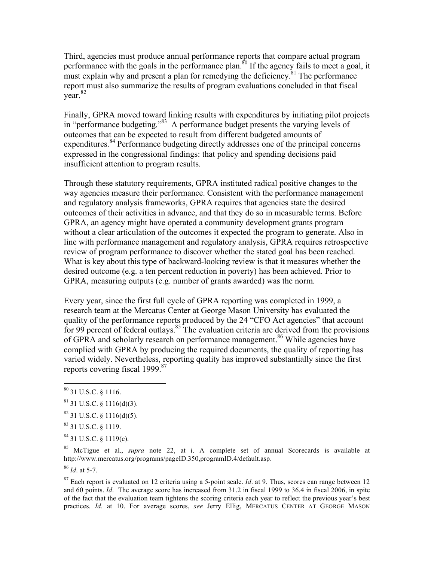Third, agencies must produce annual performance reports that compare actual program performance with the goals in the performance plan.<sup>80</sup> If the agency fails to meet a goal, it must explain why and present a plan for remedying the deficiency.<sup>81</sup> The performance report must also summarize the results of program evaluations concluded in that fiscal year. 82

Finally, GPRA moved toward linking results with expenditures by initiating pilot projects in "performance budgeting."<sup>83</sup> A performance budget presents the varying levels of outcomes that can be expected to result from different budgeted amounts of expenditures.<sup>84</sup> Performance budgeting directly addresses one of the principal concerns expressed in the congressional findings: that policy and spending decisions paid insufficient attention to program results.

Through these statutory requirements, GPRA instituted radical positive changes to the way agencies measure their performance. Consistent with the performance management and regulatory analysis frameworks, GPRA requires that agencies state the desired outcomes of their activities in advance, and that they do so in measurable terms. Before GPRA, an agency might have operated a community development grants program without a clear articulation of the outcomes it expected the program to generate. Also in line with performance management and regulatory analysis, GPRA requires retrospective review of program performance to discover whether the stated goal has been reached. What is key about this type of backward-looking review is that it measures whether the desired outcome (e.g. a ten percent reduction in poverty) has been achieved. Prior to GPRA, measuring outputs (e.g. number of grants awarded) was the norm.

Every year, since the first full cycle of GPRA reporting was completed in 1999, a research team at the Mercatus Center at George Mason University has evaluated the quality of the performance reports produced by the 24 "CFO Act agencies" that account for 99 percent of federal outlays.<sup>85</sup> The evaluation criteria are derived from the provisions of GPRA and scholarly research on performance management.<sup>86</sup> While agencies have complied with GPRA by producing the required documents, the quality of reporting has varied widely. Nevertheless, reporting quality has improved substantially since the first reports covering fiscal 1999.<sup>87</sup>

85 McTigue et al., *supra* note 22, at i. A complete set of annual Scorecards is available at http://www.mercatus.org/programs/pageID.350,programID.4/default.asp.

<sup>86</sup> *Id*. at 5-7.

87 Each report is evaluated on 12 criteria using a 5-point scale. *Id*. at 9. Thus, scores can range between 12 and 60 points. *Id*. The average score has increased from 31.2 in fiscal 1999 to 36.4 in fiscal 2006, in spite of the fact that the evaluation team tightens the scoring criteria each year to reflect the previous year's best practices. *Id*. at 10. For average scores, *see* Jerry Ellig, MERCATUS CENTER AT GEORGE MASON

 $80$  31 U.S.C.  $8$  1116.

 $81$  31 U.S.C. § 1116(d)(3).

 $82$  31 U.S.C. § 1116(d)(5).

<sup>83 31</sup> U.S.C. § 1119.

 $84$  31 U.S.C. § 1119(c).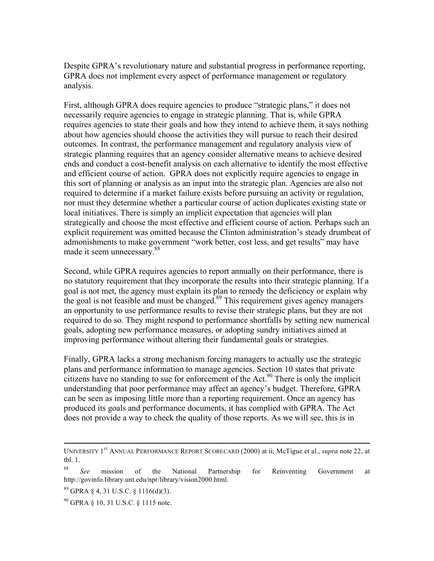Despite GPRA's revolutionary nature and substantial progress in performance reporting, GPRA does not implement every aspect of performance management or regulatory analysis.

First, although GPRA does require agencies to produce "strategic plans," it does not necessarily require agencies to engage in strategic planning. That is, while GPRA requires agencies to state their goals and how they intend to achieve them, it says nothing about how agencies should choose the activities they will pursue to reach their desired outcomes. In contrast, the performance management and regulatory analysis view of strategic planning requires that an agency consider alternative means to achieve desired ends and conduct a cost-benefit analysis on each alternative to identify the most effective and efficient course of action. GPRA does not explicitly require agencies to engage in this sort of planning or analysis as an input into the strategic plan. Agencies are also not required to determine if a market failure exists before pursuing an activity or regulation, nor must they determine whether a particular course of action duplicates existing state or local initiatives. There is simply an implicit expectation that agencies will plan strategically and choose the most effective and efficient course of action. Perhaps such an explicit requirement was omitted because the Clinton administration's steady drumbeat of admonishments to make government "work better, cost less, and get results" may have made it seem unnecessary.<sup>88</sup>

Second, while GPRA requires agencies to report annually on their performance, there is no statutory requirement that they incorporate the results into their strategic planning. If a goal is not met, the agency must explain its plan to remedy the deficiency or explain why the goal is not feasible and must be changed. $89$  This requirement gives agency managers an opportunity to use performance results to revise their strategic plans, but they are not required to do so. They might respond to performance shortfalls by setting new numerical goals, adopting new performance measures, or adopting sundry initiatives aimed at improving performance without altering their fundamental goals or strategies.

Finally, GPRA lacks a strong mechanism forcing managers to actually use the strategic plans and performance information to manage agencies. Section 10 states that private citizens have no standing to sue for enforcement of the Act.<sup>90</sup> There is only the implicit understanding that poor performance may affect an agency's budget. Therefore, GPRA can be seen as imposing little more than a reporting requirement. Once an agency has produced its goals and performance documents, it has complied with GPRA. The Act does not provide a way to check the quality of those reports. As we will see, this is in

UNIVERSITY 1<sup>st</sup> ANNUAL PERFORMANCE REPORT SCORECARD (2000) at ii; McTigue et al., *supra* note 22, at tbl. 1.

<sup>88</sup> *See* mission of the National Partnership for Reinventing Government at http://govinfo.library.unt.edu/npr/library/vision2000.html.

<sup>89</sup> GPRA § 4, 31 U.S.C. § 1116(d)(3).

 $^{90}$  GPRA § 10, 31 U.S.C. § 1115 note.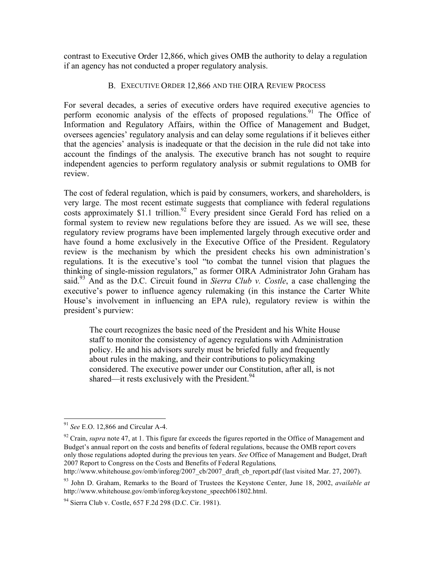contrast to Executive Order 12,866, which gives OMB the authority to delay a regulation if an agency has not conducted a proper regulatory analysis.

#### B. EXECUTIVE ORDER 12,866 AND THE OIRA REVIEW PROCESS

For several decades, a series of executive orders have required executive agencies to perform economic analysis of the effects of proposed regulations.<sup>91</sup> The Office of Information and Regulatory Affairs, within the Office of Management and Budget, oversees agencies' regulatory analysis and can delay some regulations if it believes either that the agencies' analysis is inadequate or that the decision in the rule did not take into account the findings of the analysis. The executive branch has not sought to require independent agencies to perform regulatory analysis or submit regulations to OMB for review.

The cost of federal regulation, which is paid by consumers, workers, and shareholders, is very large. The most recent estimate suggests that compliance with federal regulations costs approximately \$1.1 trillion.<sup>92</sup> Every president since Gerald Ford has relied on a formal system to review new regulations before they are issued. As we will see, these regulatory review programs have been implemented largely through executive order and have found a home exclusively in the Executive Office of the President. Regulatory review is the mechanism by which the president checks his own administration's regulations. It is the executive's tool "to combat the tunnel vision that plagues the thinking of single-mission regulators," as former OIRA Administrator John Graham has said.<sup>93</sup> And as the D.C. Circuit found in *Sierra Club v. Costle*, a case challenging the executive's power to influence agency rulemaking (in this instance the Carter White House's involvement in influencing an EPA rule), regulatory review is within the president's purview:

The court recognizes the basic need of the President and his White House staff to monitor the consistency of agency regulations with Administration policy. He and his advisors surely must be briefed fully and frequently about rules in the making, and their contributions to policymaking considered. The executive power under our Constitution, after all, is not shared—it rests exclusively with the President. $94$ 

http://www.whitehouse.gov/omb/inforeg/2007\_cb/2007\_draft\_cb\_report.pdf (last visited Mar. 27, 2007).

 <sup>91</sup> *See* E.O. 12,866 and Circular A-4.

<sup>&</sup>lt;sup>92</sup> Crain, *supra* note 47, at 1. This figure far exceeds the figures reported in the Office of Management and Budget's annual report on the costs and benefits of federal regulations, because the OMB report covers only those regulations adopted during the previous ten years. *See* Office of Management and Budget, Draft 2007 Report to Congress on the Costs and Benefits of Federal Regulations*,*

<sup>93</sup> John D. Graham, Remarks to the Board of Trustees the Keystone Center, June 18, 2002, *available at* http://www.whitehouse.gov/omb/inforeg/keystone\_speech061802.html.

<sup>94</sup> Sierra Club v. Costle, 657 F.2d 298 (D.C. Cir. 1981).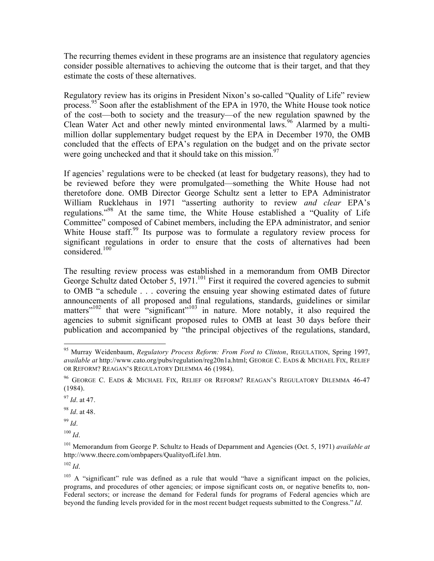The recurring themes evident in these programs are an insistence that regulatory agencies consider possible alternatives to achieving the outcome that is their target, and that they estimate the costs of these alternatives.

Regulatory review has its origins in President Nixon's so-called "Quality of Life" review process.<sup>95</sup> Soon after the establishment of the EPA in 1970, the White House took notice of the cost—both to society and the treasury—of the new regulation spawned by the Clean Water Act and other newly minted environmental laws.<sup>96</sup> Alarmed by a multimillion dollar supplementary budget request by the EPA in December 1970, the OMB concluded that the effects of EPA's regulation on the budget and on the private sector were going unchecked and that it should take on this mission. $97$ 

If agencies' regulations were to be checked (at least for budgetary reasons), they had to be reviewed before they were promulgated—something the White House had not theretofore done. OMB Director George Schultz sent a letter to EPA Administrator William Rucklehaus in 1971 "asserting authority to review *and clear* EPA's regulations."98 At the same time, the White House established a "Quality of Life Committee" composed of Cabinet members, including the EPA administrator, and senior White House staff.<sup>99</sup> Its purpose was to formulate a regulatory review process for significant regulations in order to ensure that the costs of alternatives had been considered.<sup>100</sup>

The resulting review process was established in a memorandum from OMB Director George Schultz dated October 5, 1971.<sup>101</sup> First it required the covered agencies to submit to OMB "a schedule . . . covering the ensuing year showing estimated dates of future announcements of all proposed and final regulations, standards, guidelines or similar  $m$  that were "significant"<sup>103</sup> in nature. More notably, it also required the agencies to submit significant proposed rules to OMB at least 30 days before their publication and accompanied by "the principal objectives of the regulations, standard,

<sup>98</sup> *Id*. at 48.

<sup>99</sup> *Id*.

 $100$  *Id*.

 $102$  *Id.* 

 <sup>95</sup> Murray Weidenbaum, *Regulatory Process Reform: From Ford to Clinton*, REGULATION, Spring 1997, *available at* http://www.cato.org/pubs/regulation/reg20n1a.html; GEORGE C. EADS & MICHAEL FIX, RELIEF OR REFORM? REAGAN'S REGULATORY DILEMMA 46 (1984).

<sup>96</sup> GEORGE C. EADS & MICHAEL FIX, RELIEF OR REFORM? REAGAN'S REGULATORY DILEMMA 46-47 (1984).

<sup>97</sup> *Id*. at 47.

<sup>101</sup> Memorandum from George P. Schultz to Heads of Deparnment and Agencies (Oct. 5, 1971) *available at* http://www.thecre.com/ombpapers/QualityofLife1.htm.

 $103$  A "significant" rule was defined as a rule that would "have a significant impact on the policies, programs, and procedures of other agencies; or impose significant costs on, or negative benefits to, non-Federal sectors; or increase the demand for Federal funds for programs of Federal agencies which are beyond the funding levels provided for in the most recent budget requests submitted to the Congress." *Id*.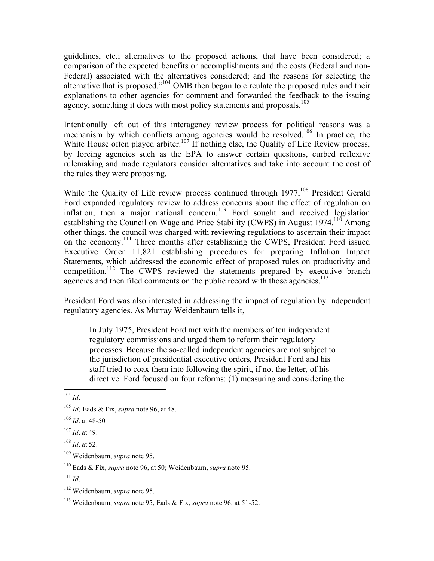guidelines, etc.; alternatives to the proposed actions, that have been considered; a comparison of the expected benefits or accomplishments and the costs (Federal and non-Federal) associated with the alternatives considered; and the reasons for selecting the alternative that is proposed."104 OMB then began to circulate the proposed rules and their explanations to other agencies for comment and forwarded the feedback to the issuing agency, something it does with most policy statements and proposals.<sup>105</sup>

Intentionally left out of this interagency review process for political reasons was a mechanism by which conflicts among agencies would be resolved.<sup>106</sup> In practice, the White House often played arbiter.<sup>107</sup> If nothing else, the Quality of Life Review process, by forcing agencies such as the EPA to answer certain questions, curbed reflexive rulemaking and made regulators consider alternatives and take into account the cost of the rules they were proposing.

While the Quality of Life review process continued through 1977,<sup>108</sup> President Gerald Ford expanded regulatory review to address concerns about the effect of regulation on inflation, then a major national concern.109 Ford sought and received legislation establishing the Council on Wage and Price Stability (CWPS) in August  $1974$ <sup>110</sup> Among other things, the council was charged with reviewing regulations to ascertain their impact on the economy.<sup>111</sup> Three months after establishing the CWPS, President Ford issued Executive Order 11,821 establishing procedures for preparing Inflation Impact Statements, which addressed the economic effect of proposed rules on productivity and competition.<sup>112</sup> The CWPS reviewed the statements prepared by executive branch agencies and then filed comments on the public record with those agencies.<sup>113</sup>

President Ford was also interested in addressing the impact of regulation by independent regulatory agencies. As Murray Weidenbaum tells it,

In July 1975, President Ford met with the members of ten independent regulatory commissions and urged them to reform their regulatory processes. Because the so-called independent agencies are not subject to the jurisdiction of presidential executive orders, President Ford and his staff tried to coax them into following the spirit, if not the letter, of his directive. Ford focused on four reforms: (1) measuring and considering the

109 Weidenbaum, *supra* note 95.

 <sup>104</sup> *Id*.

<sup>105</sup> *Id;* Eads & Fix, *supra* note 96, at 48.

<sup>106</sup> *Id*. at 48-50

<sup>107</sup> *Id*. at 49.

<sup>108</sup> *Id*. at 52.

<sup>110</sup> Eads & Fix, *supra* note 96, at 50; Weidenbaum, *supra* note 95.

<sup>111</sup> *Id*.

<sup>112</sup> Weidenbaum, *supra* note 95.

<sup>113</sup> Weidenbaum, *supra* note 95, Eads & Fix, *supra* note 96, at 51-52.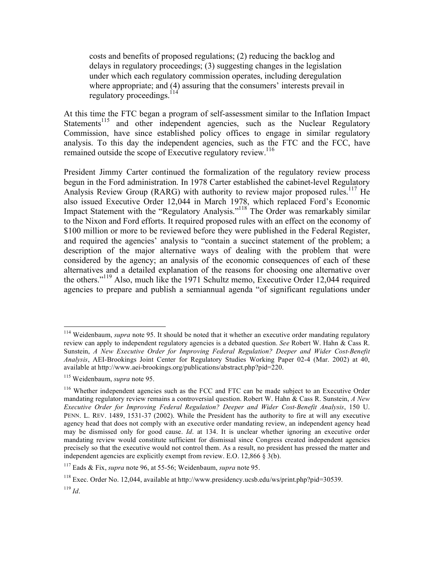costs and benefits of proposed regulations; (2) reducing the backlog and delays in regulatory proceedings; (3) suggesting changes in the legislation under which each regulatory commission operates, including deregulation where appropriate; and (4) assuring that the consumers' interests prevail in regulatory proceedings.<sup>114</sup>

At this time the FTC began a program of self-assessment similar to the Inflation Impact Statements<sup>115</sup> and other independent agencies, such as the Nuclear Regulatory Commission, have since established policy offices to engage in similar regulatory analysis. To this day the independent agencies, such as the FTC and the FCC, have remained outside the scope of Executive regulatory review.<sup>116</sup>

President Jimmy Carter continued the formalization of the regulatory review process begun in the Ford administration. In 1978 Carter established the cabinet-level Regulatory Analysis Review Group (RARG) with authority to review major proposed rules.<sup>117</sup> He also issued Executive Order 12,044 in March 1978, which replaced Ford's Economic Impact Statement with the "Regulatory Analysis."<sup>118</sup> The Order was remarkably similar to the Nixon and Ford efforts. It required proposed rules with an effect on the economy of \$100 million or more to be reviewed before they were published in the Federal Register, and required the agencies' analysis to "contain a succinct statement of the problem; a description of the major alternative ways of dealing with the problem that were considered by the agency; an analysis of the economic consequences of each of these alternatives and a detailed explanation of the reasons for choosing one alternative over the others." 119 Also, much like the 1971 Schultz memo, Executive Order 12,044 required agencies to prepare and publish a semiannual agenda "of significant regulations under

<sup>&</sup>lt;sup>114</sup> Weidenbaum, *supra* note 95. It should be noted that it whether an executive order mandating regulatory review can apply to independent regulatory agencies is a debated question. *See* Robert W. Hahn & Cass R. Sunstein, *A New Executive Order for Improving Federal Regulation? Deeper and Wider Cost-Benefit Analysis*, AEI-Brookings Joint Center for Regulatory Studies Working Paper 02-4 (Mar. 2002) at 40, available at http://www.aei-brookings.org/publications/abstract.php?pid=220.

<sup>115</sup> Weidenbaum, *supra* note 95.

 $116$  Whether independent agencies such as the FCC and FTC can be made subject to an Executive Order mandating regulatory review remains a controversial question. Robert W. Hahn & Cass R. Sunstein, *A New Executive Order for Improving Federal Regulation? Deeper and Wider Cost-Benefit Analysis*, 150 U. PENN. L. REV. 1489, 1531-37 (2002). While the President has the authority to fire at will any executive agency head that does not comply with an executive order mandating review, an independent agency head may be dismissed only for good cause. *Id*. at 134. It is unclear whether ignoring an executive order mandating review would constitute sufficient for dismissal since Congress created independent agencies precisely so that the executive would not control them. As a result, no president has pressed the matter and independent agencies are explicitly exempt from review. E.O. 12,866 § 3(b).

<sup>117</sup> Eads & Fix, *supra* note 96, at 55-56; Weidenbaum, *supra* note 95.

<sup>118</sup> Exec. Order No. 12,044, available at http://www.presidency.ucsb.edu/ws/print.php?pid=30539.

<sup>119</sup> *Id*.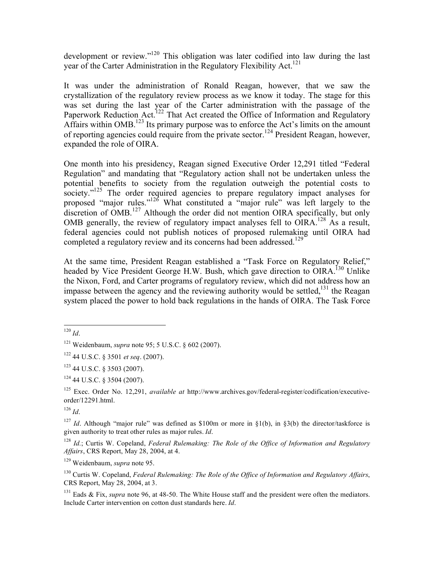development or review."120 This obligation was later codified into law during the last year of the Carter Administration in the Regulatory Flexibility Act.<sup>121</sup>

It was under the administration of Ronald Reagan, however, that we saw the crystallization of the regulatory review process as we know it today. The stage for this was set during the last year of the Carter administration with the passage of the Paperwork Reduction Act.<sup>122</sup> That Act created the Office of Information and Regulatory Affairs within OMB.<sup>123</sup> Its primary purpose was to enforce the Act's limits on the amount of reporting agencies could require from the private sector.<sup>124</sup> President Reagan, however, expanded the role of OIRA.

One month into his presidency, Reagan signed Executive Order 12,291 titled "Federal Regulation" and mandating that "Regulatory action shall not be undertaken unless the potential benefits to society from the regulation outweigh the potential costs to society."<sup>125</sup> The order required agencies to prepare regulatory impact analyses for proposed "major rules."126 What constituted a "major rule" was left largely to the discretion of OMB.<sup>127</sup> Although the order did not mention OIRA specifically, but only OMB generally, the review of regulatory impact analyses fell to  $OIRA$ <sup>128</sup> As a result, federal agencies could not publish notices of proposed rulemaking until OIRA had completed a regulatory review and its concerns had been addressed.<sup>129</sup>

At the same time, President Reagan established a "Task Force on Regulatory Relief," headed by Vice President George H.W. Bush, which gave direction to OIRA.<sup>130</sup> Unlike the Nixon, Ford, and Carter programs of regulatory review, which did not address how an impasse between the agency and the reviewing authority would be settled, $^{131}$  the Reagan system placed the power to hold back regulations in the hands of OIRA. The Task Force

 $120$  *Id*.

<sup>121</sup> Weidenbaum, *supra* note 95; 5 U.S.C. § 602 (2007).

<sup>122</sup> 44 U.S.C. § 3501 *et seq*. (2007).

 $123$  44 U.S.C. § 3503 (2007).

 $124$  44 U.S.C. § 3504 (2007).

<sup>125</sup> Exec. Order No. 12,291, *available at* http://www.archives.gov/federal-register/codification/executiveorder/12291.html.

<sup>126</sup> *Id*.

<sup>&</sup>lt;sup>127</sup> *Id.* Although "major rule" was defined as \$100m or more in  $\S1(b)$ , in  $\S3(b)$  the director/taskforce is given authority to treat other rules as major rules. *Id*.

<sup>128</sup> *Id.*; Curtis W. Copeland, *Federal Rulemaking: The Role of the Office of Information and Regulatory Affairs*, CRS Report, May 28, 2004, at 4.

<sup>129</sup> Weidenbaum, *supra* note 95.

<sup>130</sup> Curtis W. Copeland, *Federal Rulemaking: The Role of the Office of Information and Regulatory Affairs*, CRS Report, May 28, 2004, at 3.

<sup>&</sup>lt;sup>131</sup> Eads & Fix, *supra* note 96, at 48-50. The White House staff and the president were often the mediators. Include Carter intervention on cotton dust standards here. *Id*.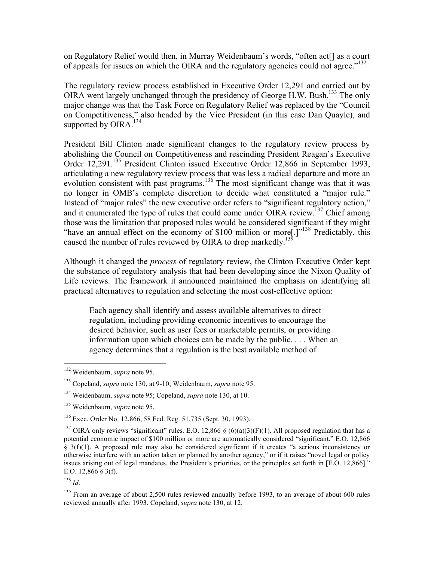on Regulatory Relief would then, in Murray Weidenbaum's words, "often act[] as a court of appeals for issues on which the OIRA and the regulatory agencies could not agree."<sup>132</sup>

The regulatory review process established in Executive Order 12,291 and carried out by OIRA went largely unchanged through the presidency of George H.W. Bush.133 The only major change was that the Task Force on Regulatory Relief was replaced by the "Council on Competitiveness," also headed by the Vice President (in this case Dan Quayle), and supported by OIRA. $^{134}$ 

President Bill Clinton made significant changes to the regulatory review process by abolishing the Council on Competitiveness and rescinding President Reagan's Executive Order 12,291.<sup>135</sup> President Clinton issued Executive Order 12,866 in September 1993, articulating a new regulatory review process that was less a radical departure and more an evolution consistent with past programs.<sup>136</sup> The most significant change was that it was no longer in OMB's complete discretion to decide what constituted a "major rule." Instead of "major rules" the new executive order refers to "significant regulatory action," and it enumerated the type of rules that could come under OIRA review.<sup>137</sup> Chief among those was the limitation that proposed rules would be considered significant if they might "have an annual effect on the economy of \$100 million or more[.]"<sup>138</sup> Predictably, this caused the number of rules reviewed by OIRA to drop markedly.<sup>139</sup>

Although it changed the *process* of regulatory review, the Clinton Executive Order kept the substance of regulatory analysis that had been developing since the Nixon Quality of Life reviews. The framework it announced maintained the emphasis on identifying all practical alternatives to regulation and selecting the most cost-effective option:

Each agency shall identify and assess available alternatives to direct regulation, including providing economic incentives to encourage the desired behavior, such as user fees or marketable permits, or providing information upon which choices can be made by the public. . . . When an agency determines that a regulation is the best available method of

 <sup>132</sup> Weidenbaum, *supra* note 95.

<sup>133</sup> Copeland, *supra* note 130, at 9-10; Weidenbaum, *supra* note 95.

<sup>134</sup> Weidenbaum, *supra* note 95; Copeland, *supra* note 130, at 10.

<sup>135</sup> Weidenbaum, *supra* note 95.

<sup>136</sup> Exec. Order No. 12,866, 58 Fed. Reg. 51,735 (Sept. 30, 1993).

<sup>&</sup>lt;sup>137</sup> OIRA only reviews "significant" rules. E.O. 12,866 § (6)(a)(3)(F)(1). All proposed regulation that has a potential economic impact of \$100 million or more are automatically considered "significant." E.O. 12,866 § 3(f)(1). A proposed rule may also be considered significant if it creates "a serious inconsistency or otherwise interfere with an action taken or planned by another agency," or if it raises "novel legal or policy issues arising out of legal mandates, the President's priorities, or the principles set forth in [E.O. 12,866]." E.O. 12,866 § 3(f).

<sup>138</sup> *Id*.

<sup>&</sup>lt;sup>139</sup> From an average of about 2,500 rules reviewed annually before 1993, to an average of about 600 rules reviewed annually after 1993. Copeland, *supra* note 130, at 12.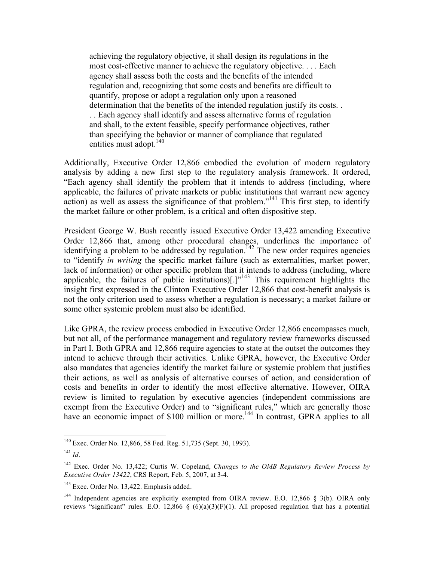achieving the regulatory objective, it shall design its regulations in the most cost-effective manner to achieve the regulatory objective. . . . Each agency shall assess both the costs and the benefits of the intended regulation and, recognizing that some costs and benefits are difficult to quantify, propose or adopt a regulation only upon a reasoned determination that the benefits of the intended regulation justify its costs. . . . Each agency shall identify and assess alternative forms of regulation and shall, to the extent feasible, specify performance objectives, rather than specifying the behavior or manner of compliance that regulated entities must adopt. $140$ 

Additionally, Executive Order 12,866 embodied the evolution of modern regulatory analysis by adding a new first step to the regulatory analysis framework. It ordered, "Each agency shall identify the problem that it intends to address (including, where applicable, the failures of private markets or public institutions that warrant new agency action) as well as assess the significance of that problem."<sup>141</sup> This first step, to identify the market failure or other problem, is a critical and often dispositive step.

President George W. Bush recently issued Executive Order 13,422 amending Executive Order 12,866 that, among other procedural changes, underlines the importance of identifying a problem to be addressed by regulation.<sup> $142$ </sup> The new order requires agencies to "identify *in writing* the specific market failure (such as externalities, market power, lack of information) or other specific problem that it intends to address (including, where applicable, the failures of public institutions) $[.]^{y143}$  This requirement highlights the insight first expressed in the Clinton Executive Order 12,866 that cost-benefit analysis is not the only criterion used to assess whether a regulation is necessary; a market failure or some other systemic problem must also be identified.

Like GPRA, the review process embodied in Executive Order 12,866 encompasses much, but not all, of the performance management and regulatory review frameworks discussed in Part I. Both GPRA and 12,866 require agencies to state at the outset the outcomes they intend to achieve through their activities. Unlike GPRA, however, the Executive Order also mandates that agencies identify the market failure or systemic problem that justifies their actions, as well as analysis of alternative courses of action, and consideration of costs and benefits in order to identify the most effective alternative. However, OIRA review is limited to regulation by executive agencies (independent commissions are exempt from the Executive Order) and to "significant rules," which are generally those have an economic impact of \$100 million or more.<sup>144</sup> In contrast, GPRA applies to all

 <sup>140</sup> Exec. Order No. 12,866, 58 Fed. Reg. 51,735 (Sept. 30, 1993).

<sup>141</sup> *Id*.

<sup>142</sup> Exec. Order No. 13,422; Curtis W. Copeland, *Changes to the OMB Regulatory Review Process by Executive Order 13422*, CRS Report, Feb. 5, 2007, at 3-4.

<sup>&</sup>lt;sup>143</sup> Exec. Order No. 13,422. Emphasis added.

<sup>&</sup>lt;sup>144</sup> Independent agencies are explicitly exempted from OIRA review. E.O. 12,866 § 3(b). OIRA only reviews "significant" rules. E.O. 12,866 § (6)(a)(3)(F)(1). All proposed regulation that has a potential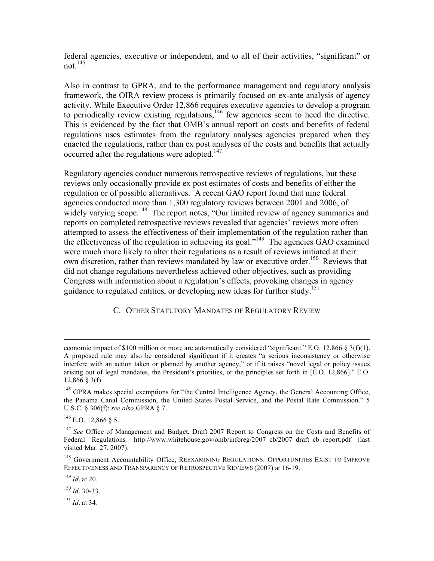federal agencies, executive or independent, and to all of their activities, "significant" or not  $^{145}$ 

Also in contrast to GPRA, and to the performance management and regulatory analysis framework, the OIRA review process is primarily focused on ex-ante analysis of agency activity. While Executive Order 12,866 requires executive agencies to develop a program to periodically review existing regulations, $146$  few agencies seem to heed the directive. This is evidenced by the fact that OMB's annual report on costs and benefits of federal regulations uses estimates from the regulatory analyses agencies prepared when they enacted the regulations, rather than ex post analyses of the costs and benefits that actually occurred after the regulations were adopted.<sup>147</sup>

Regulatory agencies conduct numerous retrospective reviews of regulations, but these reviews only occasionally provide ex post estimates of costs and benefits of either the regulation or of possible alternatives. A recent GAO report found that nine federal agencies conducted more than 1,300 regulatory reviews between 2001 and 2006, of widely varying scope.<sup>148</sup> The report notes, "Our limited review of agency summaries and reports on completed retrospective reviews revealed that agencies' reviews more often attempted to assess the effectiveness of their implementation of the regulation rather than the effectiveness of the regulation in achieving its goal."<sup>149</sup> The agencies GAO examined were much more likely to alter their regulations as a result of reviews initiated at their own discretion, rather than reviews mandated by law or executive order.<sup>150</sup> Reviews that did not change regulations nevertheless achieved other objectives, such as providing Congress with information about a regulation's effects, provoking changes in agency guidance to regulated entities, or developing new ideas for further study.<sup>151</sup>

#### C. OTHER STATUTORY MANDATES OF REGULATORY REVIEW

 $\overline{a}$ 

<sup>149</sup> *Id*. at 20.

<sup>150</sup> *Id*. 30-33.

<sup>151</sup> *Id*. at 34.

economic impact of \$100 million or more are automatically considered "significant." E.O. 12,866 § 3(f)(1). A proposed rule may also be considered significant if it creates "a serious inconsistency or otherwise interfere with an action taken or planned by another agency," or if it raises "novel legal or policy issues arising out of legal mandates, the President's priorities, or the principles set forth in [E.O. 12,866]." E.O. 12,866 § 3(f).

<sup>&</sup>lt;sup>145</sup> GPRA makes special exemptions for "the Central Intelligence Agency, the General Accounting Office, the Panama Canal Commission, the United States Postal Service, and the Postal Rate Commission." 5 U.S.C. § 306(f); *see also* GPRA § 7.

 $^{146}$  E.O. 12,866 § 5.

<sup>&</sup>lt;sup>147</sup> See Office of Management and Budget, Draft 2007 Report to Congress on the Costs and Benefits of Federal Regulations, http://www.whitehouse.gov/omb/inforeg/2007\_cb/2007\_draft\_cb\_report.pdf (last visited Mar. 27, 2007).

<sup>&</sup>lt;sup>148</sup> Government Accountability Office, REEXAMINING REGULATIONS: OPPORTUNITIES EXIST TO IMPROVE EFFECTIVENESS AND TRANSPARENCY OF RETROSPECTIVE REVIEWS (2007) at 16-19.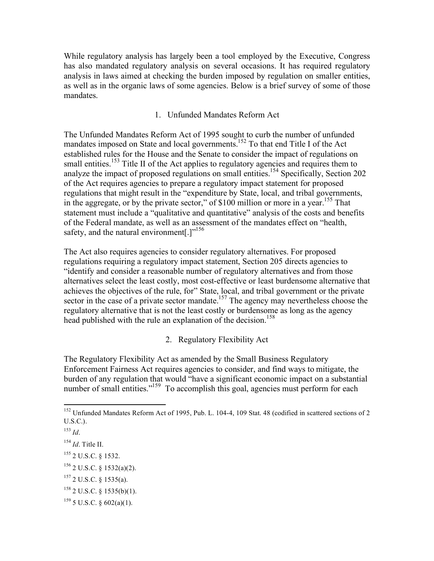While regulatory analysis has largely been a tool employed by the Executive, Congress has also mandated regulatory analysis on several occasions. It has required regulatory analysis in laws aimed at checking the burden imposed by regulation on smaller entities, as well as in the organic laws of some agencies. Below is a brief survey of some of those mandates.

#### 1. Unfunded Mandates Reform Act

The Unfunded Mandates Reform Act of 1995 sought to curb the number of unfunded mandates imposed on State and local governments.<sup>152</sup> To that end Title I of the Act established rules for the House and the Senate to consider the impact of regulations on small entities.<sup>153</sup> Title II of the Act applies to regulatory agencies and requires them to analyze the impact of proposed regulations on small entities.<sup>154</sup> Specifically, Section 202 of the Act requires agencies to prepare a regulatory impact statement for proposed regulations that might result in the "expenditure by State, local, and tribal governments, in the aggregate, or by the private sector," of \$100 million or more in a year.155 That statement must include a "qualitative and quantitative" analysis of the costs and benefits of the Federal mandate, as well as an assessment of the mandates effect on "health, safety, and the natural environment[.]"<sup>156</sup>

The Act also requires agencies to consider regulatory alternatives. For proposed regulations requiring a regulatory impact statement, Section 205 directs agencies to "identify and consider a reasonable number of regulatory alternatives and from those alternatives select the least costly, most cost-effective or least burdensome alternative that achieves the objectives of the rule, for" State, local, and tribal government or the private sector in the case of a private sector mandate.<sup>157</sup> The agency may nevertheless choose the regulatory alternative that is not the least costly or burdensome as long as the agency head published with the rule an explanation of the decision.<sup>158</sup>

#### 2. Regulatory Flexibility Act

The Regulatory Flexibility Act as amended by the Small Business Regulatory Enforcement Fairness Act requires agencies to consider, and find ways to mitigate, the burden of any regulation that would "have a significant economic impact on a substantial number of small entities."<sup>159</sup> To accomplish this goal, agencies must perform for each

<sup>&</sup>lt;sup>152</sup> Unfunded Mandates Reform Act of 1995, Pub. L. 104-4, 109 Stat. 48 (codified in scattered sections of 2 U.S.C.).

<sup>153</sup> *Id*.

<sup>154</sup> *Id*. Title II.

<sup>155 2</sup> U.S.C. § 1532.

 $156$  2 U.S.C. § 1532(a)(2).

 $157$  2 U.S.C. § 1535(a).

 $158$  2 U.S.C. § 1535(b)(1).

 $159$  5 U.S.C. § 602(a)(1).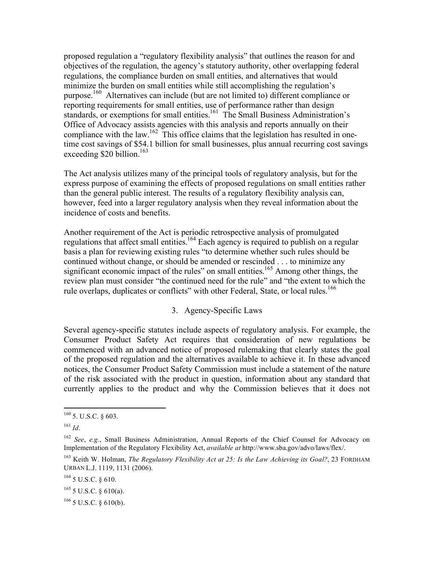proposed regulation a "regulatory flexibility analysis" that outlines the reason for and objectives of the regulation, the agency's statutory authority, other overlapping federal regulations, the compliance burden on small entities, and alternatives that would minimize the burden on small entities while still accomplishing the regulation's purpose.<sup>160</sup> Alternatives can include (but are not limited to) different compliance or reporting requirements for small entities, use of performance rather than design standards, or exemptions for small entities.<sup>161</sup> The Small Business Administration's Office of Advocacy assists agencies with this analysis and reports annually on their compliance with the law.<sup>162</sup> This office claims that the legislation has resulted in onetime cost savings of \$54.1 billion for small businesses, plus annual recurring cost savings exceeding  $$20$  billion.<sup>163</sup>

The Act analysis utilizes many of the principal tools of regulatory analysis, but for the express purpose of examining the effects of proposed regulations on small entities rather than the general public interest. The results of a regulatory flexibility analysis can, however, feed into a larger regulatory analysis when they reveal information about the incidence of costs and benefits.

Another requirement of the Act is periodic retrospective analysis of promulgated regulations that affect small entities.<sup>164</sup> Each agency is required to publish on a regular basis a plan for reviewing existing rules "to determine whether such rules should be continued without change, or should be amended or rescinded . . . to minimize any significant economic impact of the rules" on small entities.<sup>165</sup> Among other things, the review plan must consider "the continued need for the rule" and "the extent to which the rule overlaps, duplicates or conflicts" with other Federal, State, or local rules.<sup>166</sup>

#### 3. Agency-Specific Laws

Several agency-specific statutes include aspects of regulatory analysis. For example, the Consumer Product Safety Act requires that consideration of new regulations be commenced with an advanced notice of proposed rulemaking that clearly states the goal of the proposed regulation and the alternatives available to achieve it. In these advanced notices, the Consumer Product Safety Commission must include a statement of the nature of the risk associated with the product in question, information about any standard that currently applies to the product and why the Commission believes that it does not

 $160$  5. U.S.C. § 603.

<sup>161</sup> *Id*.

<sup>162</sup> *See*, *e.g.*, Small Business Administration, Annual Reports of the Chief Counsel for Advocacy on Implementation of the Regulatory Flexibility Act, *available at* http://www.sba.gov/advo/laws/flex/.

<sup>163</sup> Keith W. Holman, *The Regulatory Flexibility Act at 25: Is the Law Achieving its Goal?*, 23 FORDHAM URBAN L.J. 1119, 1131 (2006).

<sup>164 5</sup> U.S.C. § 610.

 $165$  5 U.S.C. § 610(a).

 $166$  5 U.S.C. § 610(b).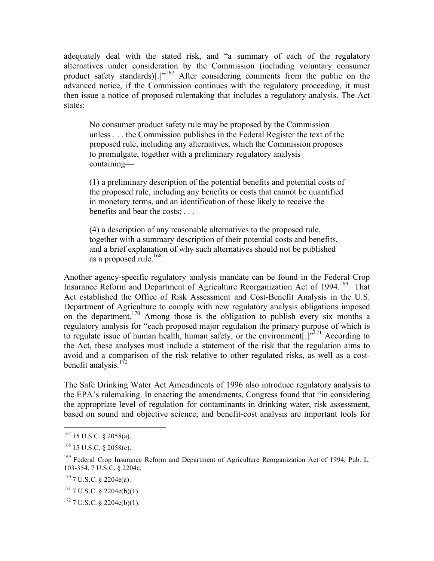adequately deal with the stated risk, and "a summary of each of the regulatory alternatives under consideration by the Commission (including voluntary consumer product safety standards)[.]"<sup>167</sup> After considering comments from the public on the advanced notice, if the Commission continues with the regulatory proceeding, it must then issue a notice of proposed rulemaking that includes a regulatory analysis. The Act states:

No consumer product safety rule may be proposed by the Commission unless . . . the Commission publishes in the Federal Register the text of the proposed rule, including any alternatives, which the Commission proposes to promulgate, together with a preliminary regulatory analysis containing—

(1) a preliminary description of the potential benefits and potential costs of the proposed rule, including any benefits or costs that cannot be quantified in monetary terms, and an identification of those likely to receive the benefits and bear the costs; . . .

(4) a description of any reasonable alternatives to the proposed rule, together with a summary description of their potential costs and benefits, and a brief explanation of why such alternatives should not be published as a proposed rule.<sup>168</sup>

Another agency-specific regulatory analysis mandate can be found in the Federal Crop Insurance Reform and Department of Agriculture Reorganization Act of 1994. 169 That Act established the Office of Risk Assessment and Cost-Benefit Analysis in the U.S. Department of Agriculture to comply with new regulatory analysis obligations imposed on the department.<sup>170</sup> Among those is the obligation to publish every six months a regulatory analysis for "each proposed major regulation the primary purpose of which is to regulate issue of human health, human safety, or the environment $[.]^{1,171}$  According to the Act, these analyses must include a statement of the risk that the regulation aims to avoid and a comparison of the risk relative to other regulated risks, as well as a costbenefit analysis. $172$ 

The Safe Drinking Water Act Amendments of 1996 also introduce regulatory analysis to the EPA's rulemaking. In enacting the amendments, Congress found that "in considering the appropriate level of regulation for contaminants in drinking water, risk assessment, based on sound and objective science, and benefit-cost analysis are important tools for

 <sup>167 15</sup> U.S.C. § 2058(a).

 $168$  15 U.S.C. § 2058(c).

<sup>&</sup>lt;sup>169</sup> Federal Crop Insurance Reform and Department of Agriculture Reorganization Act of 1994, Pub. L. 103-354, 7 U.S.C. § 2204e.

<sup>170 7</sup> U.S.C. § 2204e(a).

 $171$  7 U.S.C. § 2204e(b)(1).

 $172$  7 U.S.C. § 2204e(b)(1).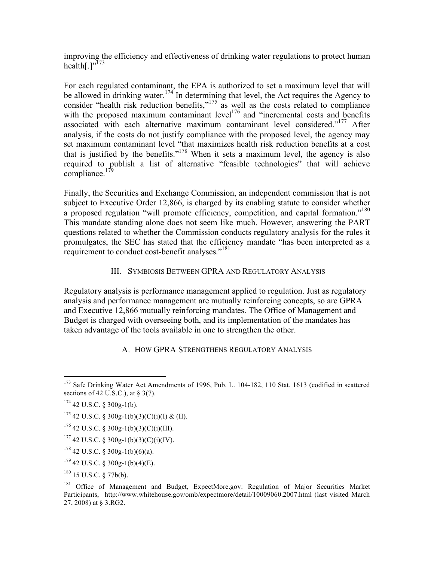improving the efficiency and effectiveness of drinking water regulations to protect human health $[.]^{,173}$ 

For each regulated contaminant, the EPA is authorized to set a maximum level that will be allowed in drinking water.<sup>174</sup> In determining that level, the Act requires the Agency to consider "health risk reduction benefits,"<sup>175</sup> as well as the costs related to compliance with the proposed maximum contaminant level<sup>176</sup> and "incremental costs and benefits associated with each alternative maximum contaminant level considered."<sup>177</sup> After analysis, if the costs do not justify compliance with the proposed level, the agency may set maximum contaminant level "that maximizes health risk reduction benefits at a cost that is justified by the benefits."<sup>178</sup> When it sets a maximum level, the agency is also required to publish a list of alternative "feasible technologies" that will achieve compliance.<sup>179</sup>

Finally, the Securities and Exchange Commission, an independent commission that is not subject to Executive Order 12,866, is charged by its enabling statute to consider whether a proposed regulation "will promote efficiency, competition, and capital formation."<sup>180</sup> This mandate standing alone does not seem like much. However, answering the PART questions related to whether the Commission conducts regulatory analysis for the rules it promulgates, the SEC has stated that the efficiency mandate "has been interpreted as a requirement to conduct cost-benefit analyses."<sup>181</sup>

#### III. SYMBIOSIS BETWEEN GPRA AND REGULATORY ANALYSIS

Regulatory analysis is performance management applied to regulation. Just as regulatory analysis and performance management are mutually reinforcing concepts, so are GPRA and Executive 12,866 mutually reinforcing mandates. The Office of Management and Budget is charged with overseeing both, and its implementation of the mandates has taken advantage of the tools available in one to strengthen the other.

#### A. HOW GPRA STRENGTHENS REGULATORY ANALYSIS

<sup>&</sup>lt;sup>173</sup> Safe Drinking Water Act Amendments of 1996, Pub. L. 104-182, 110 Stat. 1613 (codified in scattered sections of 42 U.S.C.), at  $\S$  3(7).

 $174$  42 U.S.C. § 300g-1(b).

<sup>&</sup>lt;sup>175</sup> 42 U.S.C. § 300g-1(b)(3)(C)(i)(I) & (II).

 $176$  42 U.S.C. § 300g-1(b)(3)(C)(i)(III).

 $177$  42 U.S.C. § 300g-1(b)(3)(C)(i)(IV).

 $178$  42 U.S.C. § 300g-1(b)(6)(a).

 $179$  42 U.S.C. § 300g-1(b)(4)(E).

 $180$  15 U.S.C. § 77b(b).

<sup>&</sup>lt;sup>181</sup> Office of Management and Budget, ExpectMore.gov: Regulation of Major Securities Market Participants, http://www.whitehouse.gov/omb/expectmore/detail/10009060.2007.html (last visited March 27, 2008) at § 3.RG2.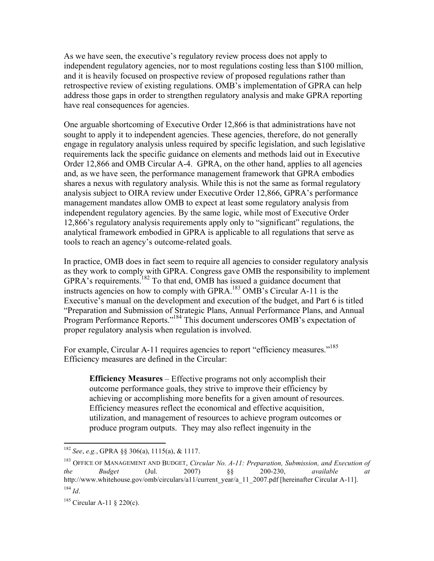As we have seen, the executive's regulatory review process does not apply to independent regulatory agencies, nor to most regulations costing less than \$100 million, and it is heavily focused on prospective review of proposed regulations rather than retrospective review of existing regulations. OMB's implementation of GPRA can help address those gaps in order to strengthen regulatory analysis and make GPRA reporting have real consequences for agencies.

One arguable shortcoming of Executive Order 12,866 is that administrations have not sought to apply it to independent agencies. These agencies, therefore, do not generally engage in regulatory analysis unless required by specific legislation, and such legislative requirements lack the specific guidance on elements and methods laid out in Executive Order 12,866 and OMB Circular A-4. GPRA, on the other hand, applies to all agencies and, as we have seen, the performance management framework that GPRA embodies shares a nexus with regulatory analysis. While this is not the same as formal regulatory analysis subject to OIRA review under Executive Order 12,866, GPRA's performance management mandates allow OMB to expect at least some regulatory analysis from independent regulatory agencies. By the same logic, while most of Executive Order 12,866's regulatory analysis requirements apply only to "significant" regulations, the analytical framework embodied in GPRA is applicable to all regulations that serve as tools to reach an agency's outcome-related goals.

In practice, OMB does in fact seem to require all agencies to consider regulatory analysis as they work to comply with GPRA. Congress gave OMB the responsibility to implement GPRA's requirements.<sup>182</sup> To that end, OMB has issued a guidance document that instructs agencies on how to comply with GPRA.<sup>183</sup> OMB's Circular A-11 is the Executive's manual on the development and execution of the budget, and Part 6 is titled "Preparation and Submission of Strategic Plans, Annual Performance Plans, and Annual Program Performance Reports."184 This document underscores OMB's expectation of proper regulatory analysis when regulation is involved.

For example, Circular A-11 requires agencies to report "efficiency measures."<sup>185</sup> Efficiency measures are defined in the Circular:

**Efficiency Measures** – Effective programs not only accomplish their outcome performance goals, they strive to improve their efficiency by achieving or accomplishing more benefits for a given amount of resources. Efficiency measures reflect the economical and effective acquisition, utilization, and management of resources to achieve program outcomes or produce program outputs. They may also reflect ingenuity in the

 <sup>182</sup> *See*, *e.g.*, GPRA §§ 306(a), 1115(a), & 1117.

<sup>183</sup> OFFICE OF MANAGEMENT AND BUDGET, *Circular No. A-11: Preparation, Submission, and Execution of the Budget* (Jul. 2007) §§ 200-230, *available at* http://www.whitehouse.gov/omb/circulars/a11/current\_year/a\_11\_2007.pdf [hereinafter Circular A-11]. <sup>184</sup> *Id*.

<sup>&</sup>lt;sup>185</sup> Circular A-11 § 220(c).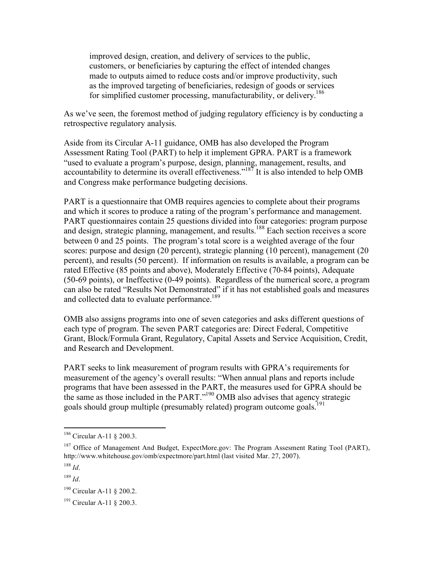improved design, creation, and delivery of services to the public, customers, or beneficiaries by capturing the effect of intended changes made to outputs aimed to reduce costs and/or improve productivity, such as the improved targeting of beneficiaries, redesign of goods or services for simplified customer processing, manufacturability, or delivery.<sup>186</sup>

As we've seen, the foremost method of judging regulatory efficiency is by conducting a retrospective regulatory analysis.

Aside from its Circular A-11 guidance, OMB has also developed the Program Assessment Rating Tool (PART) to help it implement GPRA. PART is a framework "used to evaluate a program's purpose, design, planning, management, results, and accountability to determine its overall effectiveness."<sup>187</sup> It is also intended to help OMB and Congress make performance budgeting decisions.

PART is a questionnaire that OMB requires agencies to complete about their programs and which it scores to produce a rating of the program's performance and management. PART questionnaires contain 25 questions divided into four categories: program purpose and design, strategic planning, management, and results.<sup>188</sup> Each section receives a score between 0 and 25 points. The program's total score is a weighted average of the four scores: purpose and design (20 percent), strategic planning (10 percent), management (20 percent), and results (50 percent). If information on results is available, a program can be rated Effective (85 points and above), Moderately Effective (70-84 points), Adequate (50-69 points), or Ineffective (0-49 points). Regardless of the numerical score, a program can also be rated "Results Not Demonstrated" if it has not established goals and measures and collected data to evaluate performance.<sup>189</sup>

OMB also assigns programs into one of seven categories and asks different questions of each type of program. The seven PART categories are: Direct Federal, Competitive Grant, Block/Formula Grant, Regulatory, Capital Assets and Service Acquisition, Credit, and Research and Development.

PART seeks to link measurement of program results with GPRA's requirements for measurement of the agency's overall results: "When annual plans and reports include programs that have been assessed in the PART, the measures used for GPRA should be the same as those included in the PART." $190$  OMB also advises that agency strategic goals should group multiple (presumably related) program outcome goals.<sup>19</sup>

<sup>&</sup>lt;sup>186</sup> Circular A-11 § 200.3.

<sup>&</sup>lt;sup>187</sup> Office of Management And Budget, ExpectMore.gov: The Program Assesment Rating Tool (PART), http://www.whitehouse.gov/omb/expectmore/part.html (last visited Mar. 27, 2007).

<sup>188</sup> *Id*.

 $189$  *Id.* 

<sup>&</sup>lt;sup>190</sup> Circular A-11 § 200.2.

<sup>&</sup>lt;sup>191</sup> Circular A-11 § 200.3.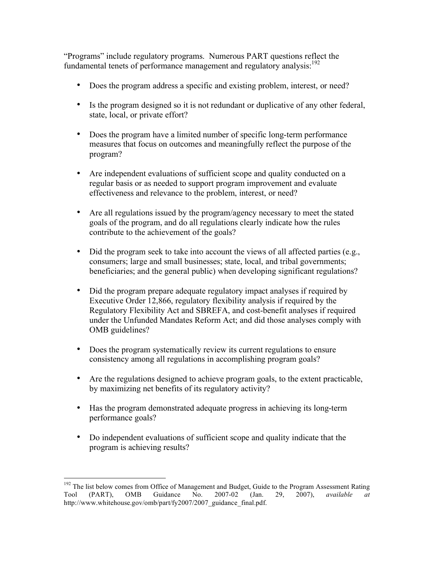"Programs" include regulatory programs. Numerous PART questions reflect the fundamental tenets of performance management and regulatory analysis: $192$ 

- Does the program address a specific and existing problem, interest, or need?
- Is the program designed so it is not redundant or duplicative of any other federal, state, local, or private effort?
- Does the program have a limited number of specific long-term performance measures that focus on outcomes and meaningfully reflect the purpose of the program?
- Are independent evaluations of sufficient scope and quality conducted on a regular basis or as needed to support program improvement and evaluate effectiveness and relevance to the problem, interest, or need?
- Are all regulations issued by the program/agency necessary to meet the stated goals of the program, and do all regulations clearly indicate how the rules contribute to the achievement of the goals?
- Did the program seek to take into account the views of all affected parties (e.g., consumers; large and small businesses; state, local, and tribal governments; beneficiaries; and the general public) when developing significant regulations?
- Did the program prepare adequate regulatory impact analyses if required by Executive Order 12,866, regulatory flexibility analysis if required by the Regulatory Flexibility Act and SBREFA, and cost-benefit analyses if required under the Unfunded Mandates Reform Act; and did those analyses comply with OMB guidelines?
- Does the program systematically review its current regulations to ensure consistency among all regulations in accomplishing program goals?
- Are the regulations designed to achieve program goals, to the extent practicable, by maximizing net benefits of its regulatory activity?
- Has the program demonstrated adequate progress in achieving its long-term performance goals?
- Do independent evaluations of sufficient scope and quality indicate that the program is achieving results?

<sup>&</sup>lt;sup>192</sup> The list below comes from Office of Management and Budget, Guide to the Program Assessment Rating Tool (PART), OMB Guidance No. 2007-02 (Jan. 29, 2007), *available at* http://www.whitehouse.gov/omb/part/fy2007/2007\_guidance\_final.pdf.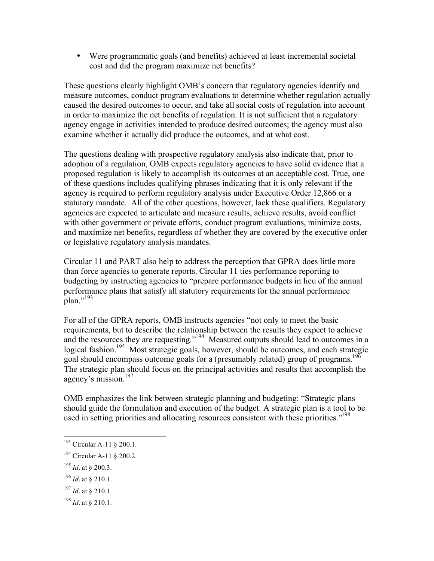• Were programmatic goals (and benefits) achieved at least incremental societal cost and did the program maximize net benefits?

These questions clearly highlight OMB's concern that regulatory agencies identify and measure outcomes, conduct program evaluations to determine whether regulation actually caused the desired outcomes to occur, and take all social costs of regulation into account in order to maximize the net benefits of regulation. It is not sufficient that a regulatory agency engage in activities intended to produce desired outcomes; the agency must also examine whether it actually did produce the outcomes, and at what cost.

The questions dealing with prospective regulatory analysis also indicate that, prior to adoption of a regulation, OMB expects regulatory agencies to have solid evidence that a proposed regulation is likely to accomplish its outcomes at an acceptable cost. True, one of these questions includes qualifying phrases indicating that it is only relevant if the agency is required to perform regulatory analysis under Executive Order 12,866 or a statutory mandate. All of the other questions, however, lack these qualifiers. Regulatory agencies are expected to articulate and measure results, achieve results, avoid conflict with other government or private efforts, conduct program evaluations, minimize costs, and maximize net benefits, regardless of whether they are covered by the executive order or legislative regulatory analysis mandates.

Circular 11 and PART also help to address the perception that GPRA does little more than force agencies to generate reports. Circular 11 ties performance reporting to budgeting by instructing agencies to "prepare performance budgets in lieu of the annual performance plans that satisfy all statutory requirements for the annual performance plan."<sup>193</sup>

For all of the GPRA reports, OMB instructs agencies "not only to meet the basic requirements, but to describe the relationship between the results they expect to achieve and the resources they are requesting."<sup>194</sup> Measured outputs should lead to outcomes in a logical fashion.<sup>195</sup> Most strategic goals, however, should be outcomes, and each strategic goal should encompass outcome goals for a (presumably related) group of programs.<sup>196</sup> The strategic plan should focus on the principal activities and results that accomplish the agency's mission.<sup>197</sup>

OMB emphasizes the link between strategic planning and budgeting: "Strategic plans should guide the formulation and execution of the budget. A strategic plan is a tool to be used in setting priorities and allocating resources consistent with these priorities."<sup>198</sup>

<sup>195</sup> *Id*. at § 200.3.

<sup>197</sup> *Id*. at § 210.1.

<sup>&</sup>lt;sup>193</sup> Circular A-11 § 200.1.

<sup>&</sup>lt;sup>194</sup> Circular A-11 § 200.2.

<sup>196</sup> *Id*. at § 210.1.

<sup>198</sup> *Id*. at § 210.1.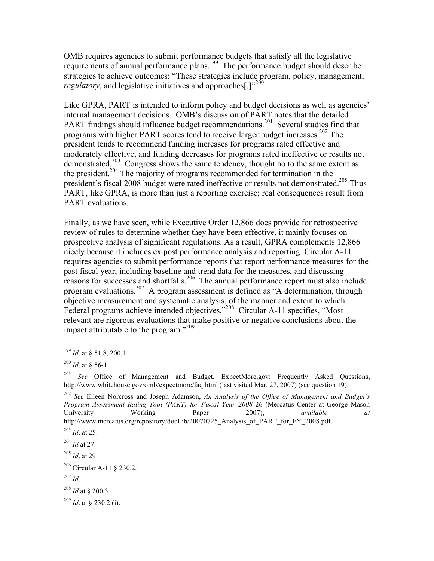OMB requires agencies to submit performance budgets that satisfy all the legislative requirements of annual performance plans.<sup>199</sup> The performance budget should describe strategies to achieve outcomes: "These strategies include program, policy, management, *regulatory*, and legislative initiatives and approaches<sup>[1]</sup><sup>200</sup>

Like GPRA, PART is intended to inform policy and budget decisions as well as agencies' internal management decisions. OMB's discussion of PART notes that the detailed PART findings should influence budget recommendations.<sup>201</sup> Several studies find that programs with higher PART scores tend to receive larger budget increases.<sup>202</sup> The president tends to recommend funding increases for programs rated effective and moderately effective, and funding decreases for programs rated ineffective or results not demonstrated.<sup>203</sup> Congress shows the same tendency, thought no to the same extent as the president.<sup>204</sup> The majority of programs recommended for termination in the president's fiscal 2008 budget were rated ineffective or results not demonstrated.205 Thus PART, like GPRA, is more than just a reporting exercise; real consequences result from PART evaluations.

Finally, as we have seen, while Executive Order 12,866 does provide for retrospective review of rules to determine whether they have been effective, it mainly focuses on prospective analysis of significant regulations. As a result, GPRA complements 12,866 nicely because it includes ex post performance analysis and reporting. Circular A-11 requires agencies to submit performance reports that report performance measures for the past fiscal year, including baseline and trend data for the measures, and discussing reasons for successes and shortfalls.<sup>206</sup> The annual performance report must also include program evaluations.207 A program assessment is defined as "A determination, through objective measurement and systematic analysis, of the manner and extent to which Federal programs achieve intended objectives."<sup>208</sup> Circular A-11 specifies, "Most relevant are rigorous evaluations that make positive or negative conclusions about the impact attributable to the program."<sup>209</sup>

 <sup>199</sup> *Id*. at § 51.8, 200.1.

 $^{200}$  *Id.* at § 56-1.

<sup>201</sup> *See* Office of Management and Budget, ExpectMore.gov: Frequently Asked Questions, http://www.whitehouse.gov/omb/expectmore/faq.html (last visited Mar. 27, 2007) (see question 19).

<sup>202</sup> *See* Eileen Norcross and Joseph Adamson, *An Analysis of the Office of Management and Budget's Program Assessment Rating Tool (PART) for Fiscal Year 2008* 26 (Mercatus Center at George Mason University Working Paper 2007), *available at* http://www.mercatus.org/repository/docLib/20070725\_Analysis\_of\_PART\_for\_FY\_2008.pdf.

<sup>203</sup> *Id*. at 25.

<sup>204</sup> *Id* at 27.

<sup>205</sup> *Id*. at 29.

<sup>206</sup> Circular A-11 § 230.2.

<sup>207</sup> *Id*.

<sup>208</sup> *Id* at § 200.3.

<sup>209</sup> *Id*. at § 230.2 (i).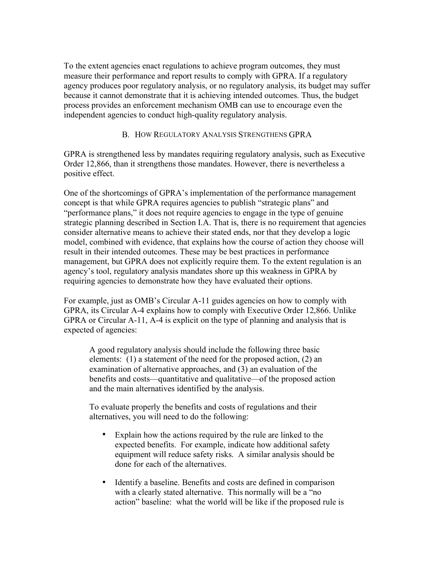To the extent agencies enact regulations to achieve program outcomes, they must measure their performance and report results to comply with GPRA. If a regulatory agency produces poor regulatory analysis, or no regulatory analysis, its budget may suffer because it cannot demonstrate that it is achieving intended outcomes. Thus, the budget process provides an enforcement mechanism OMB can use to encourage even the independent agencies to conduct high-quality regulatory analysis.

#### B. HOW REGULATORY ANALYSIS STRENGTHENS GPRA

GPRA is strengthened less by mandates requiring regulatory analysis, such as Executive Order 12,866, than it strengthens those mandates. However, there is nevertheless a positive effect.

One of the shortcomings of GPRA's implementation of the performance management concept is that while GPRA requires agencies to publish "strategic plans" and "performance plans," it does not require agencies to engage in the type of genuine strategic planning described in Section I.A. That is, there is no requirement that agencies consider alternative means to achieve their stated ends, nor that they develop a logic model, combined with evidence, that explains how the course of action they choose will result in their intended outcomes. These may be best practices in performance management, but GPRA does not explicitly require them. To the extent regulation is an agency's tool, regulatory analysis mandates shore up this weakness in GPRA by requiring agencies to demonstrate how they have evaluated their options.

For example, just as OMB's Circular A-11 guides agencies on how to comply with GPRA, its Circular A-4 explains how to comply with Executive Order 12,866. Unlike GPRA or Circular A-11, A-4 is explicit on the type of planning and analysis that is expected of agencies:

A good regulatory analysis should include the following three basic elements: (1) a statement of the need for the proposed action, (2) an examination of alternative approaches, and (3) an evaluation of the benefits and costs—quantitative and qualitative—of the proposed action and the main alternatives identified by the analysis.

To evaluate properly the benefits and costs of regulations and their alternatives, you will need to do the following:

- Explain how the actions required by the rule are linked to the expected benefits. For example, indicate how additional safety equipment will reduce safety risks. A similar analysis should be done for each of the alternatives.
- Identify a baseline. Benefits and costs are defined in comparison with a clearly stated alternative. This normally will be a "no action" baseline: what the world will be like if the proposed rule is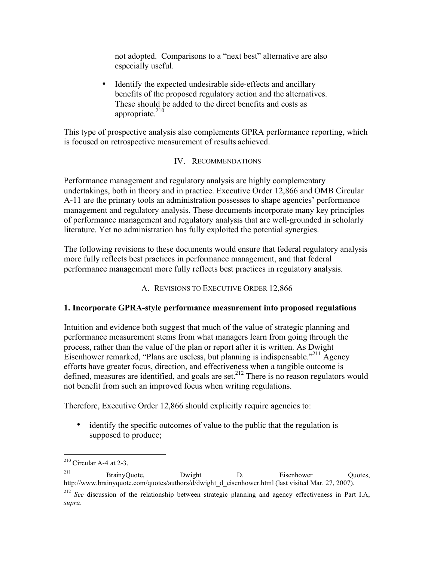not adopted. Comparisons to a "next best" alternative are also especially useful.

• Identify the expected undesirable side-effects and ancillary benefits of the proposed regulatory action and the alternatives. These should be added to the direct benefits and costs as appropriate. $210$ 

This type of prospective analysis also complements GPRA performance reporting, which is focused on retrospective measurement of results achieved.

#### IV. RECOMMENDATIONS

Performance management and regulatory analysis are highly complementary undertakings, both in theory and in practice. Executive Order 12,866 and OMB Circular A-11 are the primary tools an administration possesses to shape agencies' performance management and regulatory analysis. These documents incorporate many key principles of performance management and regulatory analysis that are well-grounded in scholarly literature. Yet no administration has fully exploited the potential synergies.

The following revisions to these documents would ensure that federal regulatory analysis more fully reflects best practices in performance management, and that federal performance management more fully reflects best practices in regulatory analysis.

A. REVISIONS TO EXECUTIVE ORDER 12,866

#### **1. Incorporate GPRA-style performance measurement into proposed regulations**

Intuition and evidence both suggest that much of the value of strategic planning and performance measurement stems from what managers learn from going through the process, rather than the value of the plan or report after it is written. As Dwight Eisenhower remarked, "Plans are useless, but planning is indispensable."<sup>211</sup> Agency efforts have greater focus, direction, and effectiveness when a tangible outcome is defined, measures are identified, and goals are set.<sup>212</sup> There is no reason regulators would not benefit from such an improved focus when writing regulations.

Therefore, Executive Order 12,866 should explicitly require agencies to:

• identify the specific outcomes of value to the public that the regulation is supposed to produce;

 $210$  Circular A-4 at 2-3.

<sup>&</sup>lt;sup>211</sup> BrainyQuote, Dwight D. Eisenhower Quotes, http://www.brainyquote.com/quotes/authors/d/dwight\_d\_eisenhower.html (last visited Mar. 27, 2007).

<sup>&</sup>lt;sup>212</sup> *See* discussion of the relationship between strategic planning and agency effectiveness in Part I.A, *supra*.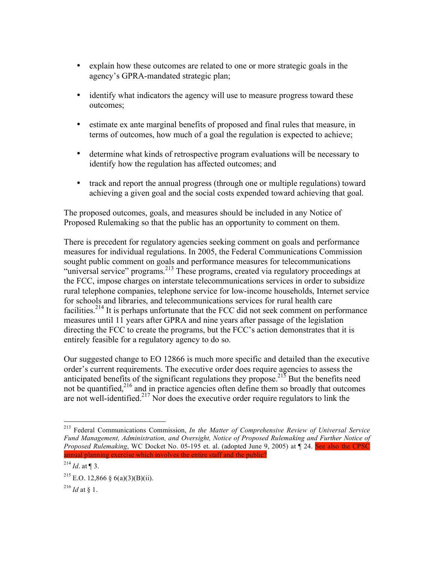- explain how these outcomes are related to one or more strategic goals in the agency's GPRA-mandated strategic plan;
- identify what indicators the agency will use to measure progress toward these outcomes;
- estimate ex ante marginal benefits of proposed and final rules that measure, in terms of outcomes, how much of a goal the regulation is expected to achieve;
- determine what kinds of retrospective program evaluations will be necessary to identify how the regulation has affected outcomes; and
- track and report the annual progress (through one or multiple regulations) toward achieving a given goal and the social costs expended toward achieving that goal.

The proposed outcomes, goals, and measures should be included in any Notice of Proposed Rulemaking so that the public has an opportunity to comment on them.

There is precedent for regulatory agencies seeking comment on goals and performance measures for individual regulations. In 2005, the Federal Communications Commission sought public comment on goals and performance measures for telecommunications "universal service" programs.<sup>213</sup> These programs, created via regulatory proceedings at the FCC, impose charges on interstate telecommunications services in order to subsidize rural telephone companies, telephone service for low-income households, Internet service for schools and libraries, and telecommunications services for rural health care facilities.<sup>214</sup> It is perhaps unfortunate that the FCC did not seek comment on performance measures until 11 years after GPRA and nine years after passage of the legislation directing the FCC to create the programs, but the FCC's action demonstrates that it is entirely feasible for a regulatory agency to do so.

Our suggested change to EO 12866 is much more specific and detailed than the executive order's current requirements. The executive order does require agencies to assess the anticipated benefits of the significant regulations they propose.<sup>215</sup> But the benefits need not be quantified, $2^{16}$  and in practice agencies often define them so broadly that outcomes are not well-identified.<sup>217</sup> Nor does the executive order require regulators to link the

 <sup>213</sup> Federal Communications Commission, *In the Matter of Comprehensive Review of Universal Service Fund Management, Administration, and Oversight, Notice of Proposed Rulemaking and Further Notice of Proposed Rulemaking*, WC Docket No. 05-195 et. al. (adopted June 9, 2005) at  $\P$  24. See also the CPSC annual planning exercise which involves the entire staff and the public?

 $^{214}$  *Id.* at ¶ 3.

<sup>&</sup>lt;sup>215</sup> E.O. 12,866 § 6(a)(3)(B)(ii).

 $^{216}$  *Id* at § 1.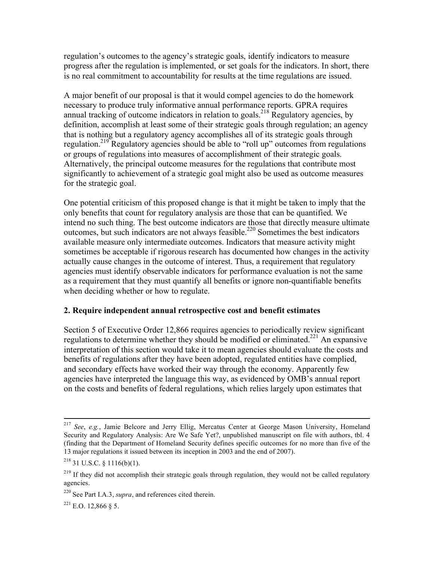regulation's outcomes to the agency's strategic goals, identify indicators to measure progress after the regulation is implemented, or set goals for the indicators. In short, there is no real commitment to accountability for results at the time regulations are issued.

A major benefit of our proposal is that it would compel agencies to do the homework necessary to produce truly informative annual performance reports. GPRA requires annual tracking of outcome indicators in relation to goals.<sup>218</sup> Regulatory agencies, by definition, accomplish at least some of their strategic goals through regulation; an agency that is nothing but a regulatory agency accomplishes all of its strategic goals through regulation.<sup>219</sup> Regulatory agencies should be able to "roll up" outcomes from regulations or groups of regulations into measures of accomplishment of their strategic goals. Alternatively, the principal outcome measures for the regulations that contribute most significantly to achievement of a strategic goal might also be used as outcome measures for the strategic goal.

One potential criticism of this proposed change is that it might be taken to imply that the only benefits that count for regulatory analysis are those that can be quantified. We intend no such thing. The best outcome indicators are those that directly measure ultimate outcomes, but such indicators are not always feasible.<sup>220</sup> Sometimes the best indicators available measure only intermediate outcomes. Indicators that measure activity might sometimes be acceptable if rigorous research has documented how changes in the activity actually cause changes in the outcome of interest. Thus, a requirement that regulatory agencies must identify observable indicators for performance evaluation is not the same as a requirement that they must quantify all benefits or ignore non-quantifiable benefits when deciding whether or how to regulate.

#### **2. Require independent annual retrospective cost and benefit estimates**

Section 5 of Executive Order 12,866 requires agencies to periodically review significant regulations to determine whether they should be modified or eliminated.<sup>221</sup> An expansive interpretation of this section would take it to mean agencies should evaluate the costs and benefits of regulations after they have been adopted, regulated entities have complied, and secondary effects have worked their way through the economy. Apparently few agencies have interpreted the language this way, as evidenced by OMB's annual report on the costs and benefits of federal regulations, which relies largely upon estimates that

 $^{221}$  E.O. 12,866 § 5.

 <sup>217</sup> *See*, *e.g.*, Jamie Belcore and Jerry Ellig, Mercatus Center at George Mason University, Homeland Security and Regulatory Analysis: Are We Safe Yet?, unpublished manuscript on file with authors, tbl. 4 (finding that the Department of Homeland Security defines specific outcomes for no more than five of the 13 major regulations it issued between its inception in 2003 and the end of 2007).

 $218$  31 U.S.C. § 1116(b)(1).

<sup>&</sup>lt;sup>219</sup> If they did not accomplish their strategic goals through regulation, they would not be called regulatory agencies.

<sup>220</sup> See Part I.A.3, *supra*, and references cited therein.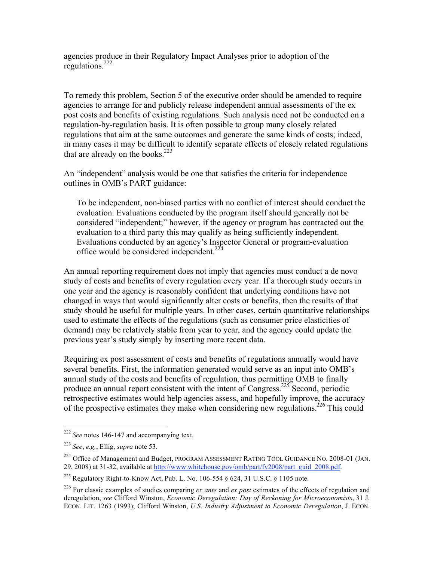agencies produce in their Regulatory Impact Analyses prior to adoption of the regulations.<sup>222</sup>

To remedy this problem, Section 5 of the executive order should be amended to require agencies to arrange for and publicly release independent annual assessments of the ex post costs and benefits of existing regulations. Such analysis need not be conducted on a regulation-by-regulation basis. It is often possible to group many closely related regulations that aim at the same outcomes and generate the same kinds of costs; indeed, in many cases it may be difficult to identify separate effects of closely related regulations that are already on the books. $223$ 

An "independent" analysis would be one that satisfies the criteria for independence outlines in OMB's PART guidance:

To be independent, non-biased parties with no conflict of interest should conduct the evaluation. Evaluations conducted by the program itself should generally not be considered "independent;" however, if the agency or program has contracted out the evaluation to a third party this may qualify as being sufficiently independent. Evaluations conducted by an agency's Inspector General or program-evaluation office would be considered independent.<sup>224</sup>

An annual reporting requirement does not imply that agencies must conduct a de novo study of costs and benefits of every regulation every year. If a thorough study occurs in one year and the agency is reasonably confident that underlying conditions have not changed in ways that would significantly alter costs or benefits, then the results of that study should be useful for multiple years. In other cases, certain quantitative relationships used to estimate the effects of the regulations (such as consumer price elasticities of demand) may be relatively stable from year to year, and the agency could update the previous year's study simply by inserting more recent data.

Requiring ex post assessment of costs and benefits of regulations annually would have several benefits. First, the information generated would serve as an input into OMB's annual study of the costs and benefits of regulation, thus permitting OMB to finally produce an annual report consistent with the intent of Congress.<sup>225</sup> Second, periodic retrospective estimates would help agencies assess, and hopefully improve, the accuracy of the prospective estimates they make when considering new regulations.<sup>226</sup> This could

 <sup>222</sup> *See* notes 146-147 and accompanying text.

<sup>223</sup> *See*, *e.g.*, Ellig, *supra* note 53.

<sup>&</sup>lt;sup>224</sup> Office of Management and Budget, PROGRAM ASSESSMENT RATING TOOL GUIDANCE NO. 2008-01 (JAN. 29, 2008) at 31-32, available at http://www.whitehouse.gov/omb/part/fy2008/part\_guid\_2008.pdf.

<sup>&</sup>lt;sup>225</sup> Regulatory Right-to-Know Act, Pub. L. No. 106-554 § 624, 31 U.S.C. § 1105 note.

<sup>226</sup> For classic examples of studies comparing *ex ante* and *ex post* estimates of the effects of regulation and deregulation, *see* Clifford Winston, *Economic Deregulation: Day of Reckoning for Microeconomists*, 31 J. ECON. LIT. 1263 (1993); Clifford Winston, *U.S. Industry Adjustment to Economic Deregulation*, J. ECON.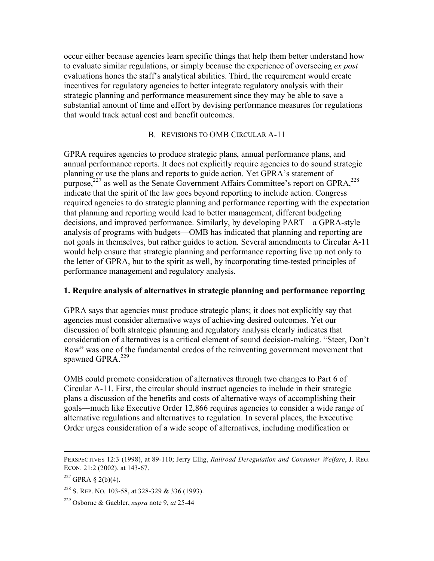occur either because agencies learn specific things that help them better understand how to evaluate similar regulations, or simply because the experience of overseeing *ex post* evaluations hones the staff's analytical abilities. Third, the requirement would create incentives for regulatory agencies to better integrate regulatory analysis with their strategic planning and performance measurement since they may be able to save a substantial amount of time and effort by devising performance measures for regulations that would track actual cost and benefit outcomes.

#### B. REVISIONS TO OMB CIRCULAR A-11

GPRA requires agencies to produce strategic plans, annual performance plans, and annual performance reports. It does not explicitly require agencies to do sound strategic planning or use the plans and reports to guide action. Yet GPRA's statement of purpose, $227$  as well as the Senate Government Affairs Committee's report on GPRA, $228$ indicate that the spirit of the law goes beyond reporting to include action. Congress required agencies to do strategic planning and performance reporting with the expectation that planning and reporting would lead to better management, different budgeting decisions, and improved performance. Similarly, by developing PART—a GPRA-style analysis of programs with budgets—OMB has indicated that planning and reporting are not goals in themselves, but rather guides to action. Several amendments to Circular A-11 would help ensure that strategic planning and performance reporting live up not only to the letter of GPRA, but to the spirit as well, by incorporating time-tested principles of performance management and regulatory analysis.

#### **1. Require analysis of alternatives in strategic planning and performance reporting**

GPRA says that agencies must produce strategic plans; it does not explicitly say that agencies must consider alternative ways of achieving desired outcomes. Yet our discussion of both strategic planning and regulatory analysis clearly indicates that consideration of alternatives is a critical element of sound decision-making. "Steer, Don't Row" was one of the fundamental credos of the reinventing government movement that spawned GPR $A^{229}$ 

OMB could promote consideration of alternatives through two changes to Part 6 of Circular A-11. First, the circular should instruct agencies to include in their strategic plans a discussion of the benefits and costs of alternative ways of accomplishing their goals—much like Executive Order 12,866 requires agencies to consider a wide range of alternative regulations and alternatives to regulation. In several places, the Executive Order urges consideration of a wide scope of alternatives, including modification or

PERSPECTIVES 12:3 (1998), at 89-110; Jerry Ellig, *Railroad Deregulation and Consumer Welfare*, J. REG. ECON. 21:2 (2002), at 143-67.

 $227$  GPRA § 2(b)(4).

<sup>228</sup> S. REP. NO. 103-58, at 328-329 & 336 (1993).

<sup>229</sup> Osborne & Gaebler, *supra* note 9, *at* 25-44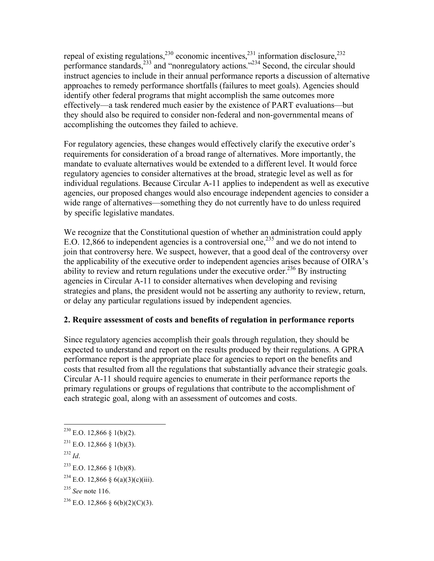repeal of existing regulations,  $230$  economic incentives,  $231$  information disclosure,  $232$ performance standards,<sup>233</sup> and "nonregulatory actions."<sup>234</sup> Second, the circular should instruct agencies to include in their annual performance reports a discussion of alternative approaches to remedy performance shortfalls (failures to meet goals). Agencies should identify other federal programs that might accomplish the same outcomes more effectively—a task rendered much easier by the existence of PART evaluations—but they should also be required to consider non-federal and non-governmental means of accomplishing the outcomes they failed to achieve.

For regulatory agencies, these changes would effectively clarify the executive order's requirements for consideration of a broad range of alternatives. More importantly, the mandate to evaluate alternatives would be extended to a different level. It would force regulatory agencies to consider alternatives at the broad, strategic level as well as for individual regulations. Because Circular A-11 applies to independent as well as executive agencies, our proposed changes would also encourage independent agencies to consider a wide range of alternatives—something they do not currently have to do unless required by specific legislative mandates.

We recognize that the Constitutional question of whether an administration could apply E.O. 12,866 to independent agencies is a controversial one,<sup>235</sup> and we do not intend to join that controversy here. We suspect, however, that a good deal of the controversy over the applicability of the executive order to independent agencies arises because of OIRA's ability to review and return regulations under the executive order.<sup>236</sup> By instructing agencies in Circular A-11 to consider alternatives when developing and revising strategies and plans, the president would not be asserting any authority to review, return, or delay any particular regulations issued by independent agencies.

#### **2. Require assessment of costs and benefits of regulation in performance reports**

Since regulatory agencies accomplish their goals through regulation, they should be expected to understand and report on the results produced by their regulations. A GPRA performance report is the appropriate place for agencies to report on the benefits and costs that resulted from all the regulations that substantially advance their strategic goals. Circular A-11 should require agencies to enumerate in their performance reports the primary regulations or groups of regulations that contribute to the accomplishment of each strategic goal, along with an assessment of outcomes and costs.

<sup>232</sup> *Id*.

 $^{230}$  E.O. 12,866 § 1(b)(2).

 $^{231}$  E.O. 12,866 § 1(b)(3).

 $^{233}$  E.O. 12,866 § 1(b)(8).

<sup>&</sup>lt;sup>234</sup> E.O. 12,866 § 6(a)(3)(c)(iii).

<sup>235</sup> *See* note 116.

<sup>&</sup>lt;sup>236</sup> E.O. 12,866 § 6(b)(2)(C)(3).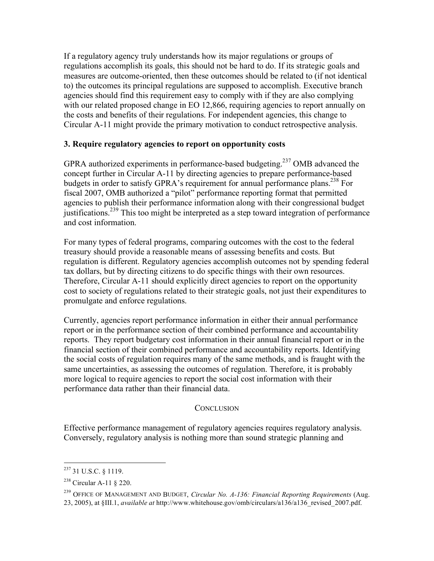If a regulatory agency truly understands how its major regulations or groups of regulations accomplish its goals, this should not be hard to do. If its strategic goals and measures are outcome-oriented, then these outcomes should be related to (if not identical to) the outcomes its principal regulations are supposed to accomplish. Executive branch agencies should find this requirement easy to comply with if they are also complying with our related proposed change in EO 12,866, requiring agencies to report annually on the costs and benefits of their regulations. For independent agencies, this change to Circular A-11 might provide the primary motivation to conduct retrospective analysis.

#### **3. Require regulatory agencies to report on opportunity costs**

GPRA authorized experiments in performance-based budgeting.<sup>237</sup> OMB advanced the concept further in Circular A-11 by directing agencies to prepare performance-based budgets in order to satisfy GPRA's requirement for annual performance plans.<sup>238</sup> For fiscal 2007, OMB authorized a "pilot" performance reporting format that permitted agencies to publish their performance information along with their congressional budget justifications.<sup>239</sup> This too might be interpreted as a step toward integration of performance and cost information.

For many types of federal programs, comparing outcomes with the cost to the federal treasury should provide a reasonable means of assessing benefits and costs. But regulation is different. Regulatory agencies accomplish outcomes not by spending federal tax dollars, but by directing citizens to do specific things with their own resources. Therefore, Circular A-11 should explicitly direct agencies to report on the opportunity cost to society of regulations related to their strategic goals, not just their expenditures to promulgate and enforce regulations.

Currently, agencies report performance information in either their annual performance report or in the performance section of their combined performance and accountability reports. They report budgetary cost information in their annual financial report or in the financial section of their combined performance and accountability reports. Identifying the social costs of regulation requires many of the same methods, and is fraught with the same uncertainties, as assessing the outcomes of regulation. Therefore, it is probably more logical to require agencies to report the social cost information with their performance data rather than their financial data.

#### **CONCLUSION**

Effective performance management of regulatory agencies requires regulatory analysis. Conversely, regulatory analysis is nothing more than sound strategic planning and

 <sup>237 31</sup> U.S.C. § 1119.

<sup>238</sup> Circular A-11 § 220.

<sup>239</sup> OFFICE OF MANAGEMENT AND BUDGET, *Circular No. A-136: Financial Reporting Requirements* (Aug. 23, 2005), at §III.1, *available at* http://www.whitehouse.gov/omb/circulars/a136/a136\_revised\_2007.pdf.